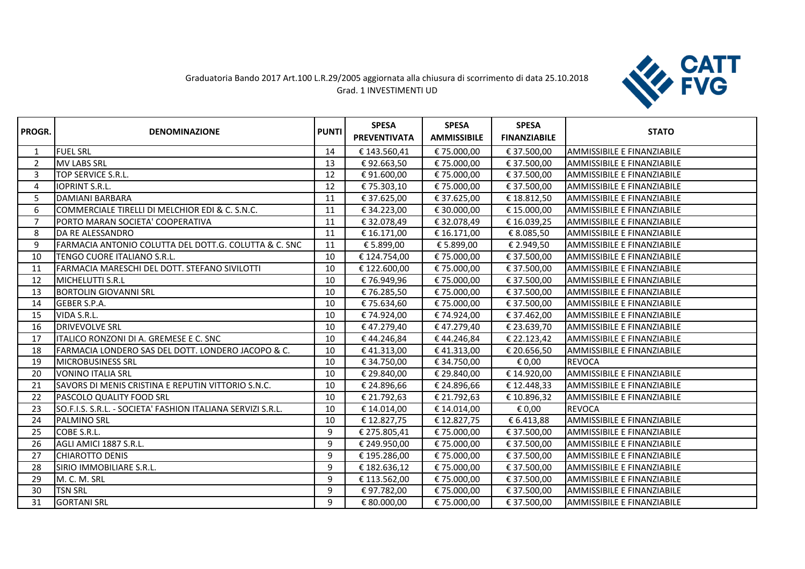## Graduatoria Bando 2017 Art.100 L.R.29/2005 aggiornata alla chiusura di scorrimento di data 25.10.2018 Grad. 1 INVESTIMENTI UD



| PROGR.         | <b>DENOMINAZIONE</b>                                        | <b>PUNTI</b> | <b>SPESA</b><br><b>PREVENTIVATA</b> | <b>SPESA</b><br><b>AMMISSIBILE</b> | <b>SPESA</b><br><b>FINANZIABILE</b> | <b>STATO</b>                      |
|----------------|-------------------------------------------------------------|--------------|-------------------------------------|------------------------------------|-------------------------------------|-----------------------------------|
|                | <b>FUEL SRL</b>                                             | 14           | € 143.560,41                        | €75.000,00                         | € 37.500,00                         | AMMISSIBILE E FINANZIABILE        |
| $\overline{2}$ | <b>MV LABS SRL</b>                                          | 13           | €92.663,50                          | €75.000,00                         | € 37.500,00                         | AMMISSIBILE E FINANZIABILE        |
| 3              | <b>TOP SERVICE S.R.L.</b>                                   | 12           | €91.600,00                          | €75.000,00                         | € 37.500,00                         | AMMISSIBILE E FINANZIABILE        |
| 4              | <b>IOPRINT S.R.L.</b>                                       | 12           | € 75.303,10                         | € 75.000,00                        | € 37.500,00                         | AMMISSIBILE E FINANZIABILE        |
| 5              | DAMIANI BARBARA                                             | 11           | € 37.625,00                         | € 37.625,00                        | € 18.812,50                         | AMMISSIBILE E FINANZIABILE        |
| 6              | COMMERCIALE TIRELLI DI MELCHIOR EDI & C. S.N.C.             | 11           | € 34.223,00                         | € 30.000,00                        | € 15.000,00                         | AMMISSIBILE E FINANZIABILE        |
| 7              | PORTO MARAN SOCIETA' COOPERATIVA                            | 11           | € 32.078,49                         | €32.078,49                         | €16.039,25                          | AMMISSIBILE E FINANZIABILE        |
| 8              | DA RE ALESSANDRO                                            | 11           | € 16.171,00                         | € 16.171,00                        | € 8.085,50                          | AMMISSIBILE E FINANZIABILE        |
| 9              | FARMACIA ANTONIO COLUTTA DEL DOTT.G. COLUTTA & C. SNC       | 11           | € 5.899,00                          | € 5.899,00                         | € 2.949,50                          | AMMISSIBILE E FINANZIABILE        |
| 10             | TENGO CUORE ITALIANO S.R.L.                                 | 10           | € 124.754,00                        | € 75.000,00                        | € 37.500,00                         | AMMISSIBILE E FINANZIABILE        |
| 11             | FARMACIA MARESCHI DEL DOTT. STEFANO SIVILOTTI               | 10           | € 122.600,00                        | €75.000,00                         | € 37.500,00                         | AMMISSIBILE E FINANZIABILE        |
| 12             | MICHELUTTI S.R.L                                            | 10           | € 76.949,96                         | € 75.000,00                        | € 37.500,00                         | AMMISSIBILE E FINANZIABILE        |
| 13             | <b>I</b> BORTOLIN GIOVANNI SRL                              | 10           | € 76.285,50                         | € 75.000,00                        | € 37.500,00                         | AMMISSIBILE E FINANZIABILE        |
| 14             | GEBER S.P.A.                                                | 10           | € 75.634,60                         | € 75.000,00                        | € 37.500,00                         | AMMISSIBILE E FINANZIABILE        |
| 15             | VIDA S.R.L.                                                 | 10           | € 74.924,00                         | € 74.924,00                        | € 37.462,00                         | AMMISSIBILE E FINANZIABILE        |
| 16             | <b>DRIVEVOLVE SRL</b>                                       | 10           | €47.279,40                          | €47.279,40                         | € 23.639,70                         | AMMISSIBILE E FINANZIABILE        |
| 17             | ITALICO RONZONI DI A. GREMESE E C. SNC                      | 10           | €44.246,84                          | €44.246,84                         | € 22.123,42                         | <b>AMMISSIBILE E FINANZIABILE</b> |
| 18             | FARMACIA LONDERO SAS DEL DOTT. LONDERO JACOPO & C.          | 10           | €41.313,00                          | €41.313,00                         | € 20.656,50                         | AMMISSIBILE E FINANZIABILE        |
| 19             | MICROBUSINESS SRL                                           | 10           | € 34.750,00                         | € 34.750,00                        | € 0,00                              | <b>REVOCA</b>                     |
| 20             | <b>VONINO ITALIA SRL</b>                                    | 10           | € 29.840,00                         | € 29.840,00                        | € 14.920,00                         | AMMISSIBILE E FINANZIABILE        |
| 21             | SAVORS DI MENIS CRISTINA E REPUTIN VITTORIO S.N.C.          | 10           | € 24.896,66                         | € 24.896,66                        | €12.448,33                          | AMMISSIBILE E FINANZIABILE        |
| 22             | PASCOLO QUALITY FOOD SRL                                    | 10           | € 21.792,63                         | € 21.792,63                        | € 10.896,32                         | AMMISSIBILE E FINANZIABILE        |
| 23             | SO.F.I.S. S.R.L. - SOCIETA' FASHION ITALIANA SERVIZI S.R.L. | 10           | € 14.014,00                         | € 14.014,00                        | € 0,00                              | <b>REVOCA</b>                     |
| 24             | <b>PALMINO SRL</b>                                          | 10           | € 12.827,75                         | € 12.827,75                        | € 6.413,88                          | AMMISSIBILE E FINANZIABILE        |
| 25             | COBE S.R.L.                                                 | 9            | € 275.805,41                        | € 75.000,00                        | € 37.500,00                         | AMMISSIBILE E FINANZIABILE        |
| 26             | AGLI AMICI 1887 S.R.L.                                      | 9            | € 249.950,00                        | € 75.000,00                        | € 37.500,00                         | AMMISSIBILE E FINANZIABILE        |
| 27             | <b>CHIAROTTO DENIS</b>                                      | 9            | € 195.286,00                        | € 75.000,00                        | € 37.500,00                         | AMMISSIBILE E FINANZIABILE        |
| 28             | SIRIO IMMOBILIARE S.R.L.                                    | 9            | € 182.636,12                        | € 75.000,00                        | € 37.500,00                         | AMMISSIBILE E FINANZIABILE        |
| 29             | M. C. M. SRL                                                | 9            | € 113.562,00                        | € 75.000,00                        | € 37.500,00                         | AMMISSIBILE E FINANZIABILE        |
| 30             | <b>TSN SRL</b>                                              | 9            | € 97.782,00                         | € 75.000,00                        | € 37.500,00                         | AMMISSIBILE E FINANZIABILE        |
| 31             | <b>GORTANI SRL</b>                                          | 9            | € 80.000,00                         | €75.000,00                         | € 37.500,00                         | AMMISSIBILE E FINANZIABILE        |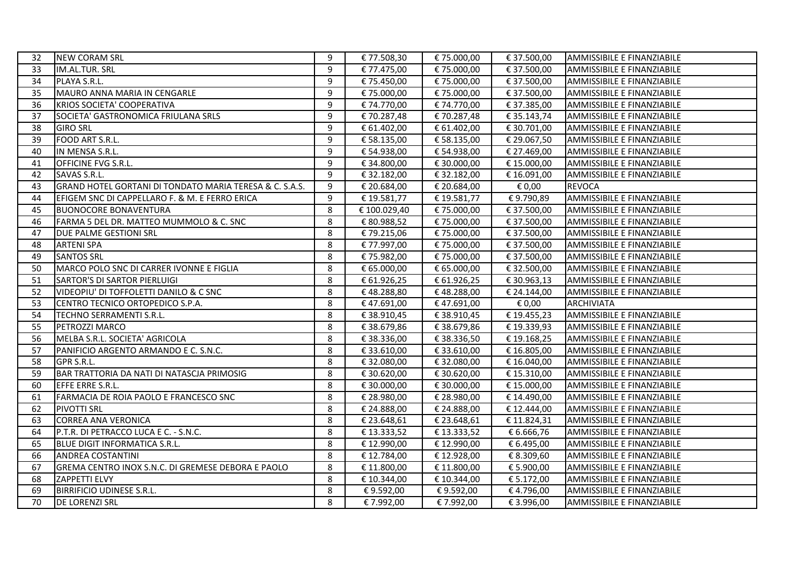| 32 | <b>NEW CORAM SRL</b>                                    | 9 | € 77.508,30  | € 75.000,00 | € 37.500,00 | AMMISSIBILE E FINANZIABILE        |
|----|---------------------------------------------------------|---|--------------|-------------|-------------|-----------------------------------|
| 33 | IM.AL.TUR. SRL                                          | 9 | € 77.475,00  | €75.000,00  | € 37.500,00 | AMMISSIBILE E FINANZIABILE        |
| 34 | PLAYA S.R.L.                                            | 9 | € 75.450,00  | €75.000,00  | € 37.500,00 | AMMISSIBILE E FINANZIABILE        |
| 35 | MAURO ANNA MARIA IN CENGARLE                            | 9 | € 75.000,00  | € 75.000,00 | € 37.500,00 | AMMISSIBILE E FINANZIABILE        |
| 36 | KRIOS SOCIETA' COOPERATIVA                              | 9 | € 74.770,00  | € 74.770,00 | € 37.385,00 | AMMISSIBILE E FINANZIABILE        |
| 37 | SOCIETA' GASTRONOMICA FRIULANA SRLS                     | 9 | € 70.287,48  | €70.287,48  | € 35.143,74 | AMMISSIBILE E FINANZIABILE        |
| 38 | <b>GIRO SRL</b>                                         | 9 | € 61.402,00  | € 61.402,00 | € 30.701,00 | <b>AMMISSIBILE E FINANZIABILE</b> |
| 39 | FOOD ART S.R.L.                                         | 9 | € 58.135,00  | € 58.135,00 | € 29.067,50 | AMMISSIBILE E FINANZIABILE        |
| 40 | IN MENSA S.R.L.                                         | 9 | € 54.938,00  | € 54.938,00 | € 27.469,00 | <b>AMMISSIBILE E FINANZIABILE</b> |
| 41 | OFFICINE FVG S.R.L.                                     | 9 | € 34.800,00  | € 30.000,00 | € 15.000,00 | AMMISSIBILE E FINANZIABILE        |
| 42 | SAVAS S.R.L.                                            | 9 | € 32.182,00  | € 32.182,00 | € 16.091,00 | AMMISSIBILE E FINANZIABILE        |
| 43 | GRAND HOTEL GORTANI DI TONDATO MARIA TERESA & C. S.A.S. | 9 | € 20.684,00  | € 20.684,00 | € 0,00      | <b>REVOCA</b>                     |
| 44 | EFIGEM SNC DI CAPPELLARO F. & M. E FERRO ERICA          | 9 | € 19.581,77  | € 19.581,77 | €9.790,89   | AMMISSIBILE E FINANZIABILE        |
| 45 | <b>BUONOCORE BONAVENTURA</b>                            | 8 | € 100.029,40 | €75.000,00  | € 37.500,00 | AMMISSIBILE E FINANZIABILE        |
| 46 | FARMA 5 DEL DR. MATTEO MUMMOLO & C. SNC                 | 8 | € 80.988,52  | € 75.000,00 | € 37.500,00 | AMMISSIBILE E FINANZIABILE        |
| 47 | DUE PALME GESTIONI SRL                                  | 8 | € 79.215,06  | € 75.000,00 | € 37.500,00 | AMMISSIBILE E FINANZIABILE        |
| 48 | <b>ARTENI SPA</b>                                       | 8 | € 77.997,00  | €75.000,00  | € 37.500,00 | AMMISSIBILE E FINANZIABILE        |
| 49 | <b>SANTOS SRL</b>                                       | 8 | € 75.982,00  | € 75.000,00 | € 37.500,00 | AMMISSIBILE E FINANZIABILE        |
| 50 | MARCO POLO SNC DI CARRER IVONNE E FIGLIA                | 8 | € 65.000,00  | € 65.000,00 | € 32.500,00 | AMMISSIBILE E FINANZIABILE        |
| 51 | SARTOR'S DI SARTOR PIERLUIGI                            | 8 | € 61.926,25  | € 61.926,25 | € 30.963,13 | AMMISSIBILE E FINANZIABILE        |
| 52 | VIDEOPIU' DI TOFFOLETTI DANILO & C SNC                  | 8 | €48.288,80   | €48.288,00  | € 24.144,00 | AMMISSIBILE E FINANZIABILE        |
| 53 | CENTRO TECNICO ORTOPEDICO S.P.A.                        | 8 | €47.691,00   | €47.691,00  | € 0,00      | <b>ARCHIVIATA</b>                 |
| 54 | TECHNO SERRAMENTI S.R.L.                                | 8 | € 38.910,45  | €38.910,45  | €19.455,23  | AMMISSIBILE E FINANZIABILE        |
| 55 | PETROZZI MARCO                                          | 8 | € 38.679,86  | € 38.679,86 | € 19.339,93 | AMMISSIBILE E FINANZIABILE        |
| 56 | MELBA S.R.L. SOCIETA' AGRICOLA                          | 8 | € 38.336,00  | € 38.336,50 | €19.168,25  | AMMISSIBILE E FINANZIABILE        |
| 57 | PANIFICIO ARGENTO ARMANDO E C. S.N.C.                   | 8 | € 33.610,00  | € 33.610,00 | € 16.805,00 | AMMISSIBILE E FINANZIABILE        |
| 58 | GPR S.R.L.                                              | 8 | € 32.080,00  | € 32.080,00 | € 16.040,00 | AMMISSIBILE E FINANZIABILE        |
| 59 | BAR TRATTORIA DA NATI DI NATASCJA PRIMOSIG              | 8 | € 30.620,00  | € 30.620,00 | € 15.310,00 | AMMISSIBILE E FINANZIABILE        |
| 60 | EFFE ERRE S.R.L.                                        | 8 | € 30.000,00  | € 30.000,00 | € 15.000,00 | AMMISSIBILE E FINANZIABILE        |
| 61 | FARMACIA DE ROIA PAOLO E FRANCESCO SNC                  | 8 | € 28.980,00  | € 28.980,00 | € 14.490,00 | AMMISSIBILE E FINANZIABILE        |
| 62 | PIVOTTI SRL                                             | 8 | € 24.888,00  | € 24.888,00 | € 12.444,00 | AMMISSIBILE E FINANZIABILE        |
| 63 | <b>CORREA ANA VERONICA</b>                              | 8 | € 23.648,61  | € 23.648,61 | € 11.824,31 | AMMISSIBILE E FINANZIABILE        |
| 64 | P.T.R. DI PETRACCO LUCA E C. - S.N.C.                   | 8 | € 13.333,52  | € 13.333,52 | € 6.666,76  | AMMISSIBILE E FINANZIABILE        |
| 65 | BLUE DIGIT INFORMATICA S.R.L.                           | 8 | € 12.990,00  | € 12.990,00 | € 6.495,00  | AMMISSIBILE E FINANZIABILE        |
| 66 | <b>ANDREA COSTANTINI</b>                                | 8 | € 12.784,00  | € 12.928,00 | € 8.309,60  | AMMISSIBILE E FINANZIABILE        |
| 67 | GREMA CENTRO INOX S.N.C. DI GREMESE DEBORA E PAOLO      | 8 | € 11.800,00  | € 11.800,00 | € 5.900,00  | AMMISSIBILE E FINANZIABILE        |
| 68 | <b>ZAPPETTI ELVY</b>                                    | 8 | € 10.344,00  | € 10.344,00 | € 5.172,00  | <b>AMMISSIBILE E FINANZIABILE</b> |
| 69 | <b>BIRRIFICIO UDINESE S.R.L.</b>                        | 8 | € 9.592,00   | €9.592,00   | €4.796,00   | AMMISSIBILE E FINANZIABILE        |
| 70 | <b>DE LORENZI SRL</b>                                   | 8 | € 7.992,00   | €7.992,00   | € 3.996,00  | AMMISSIBILE E FINANZIABILE        |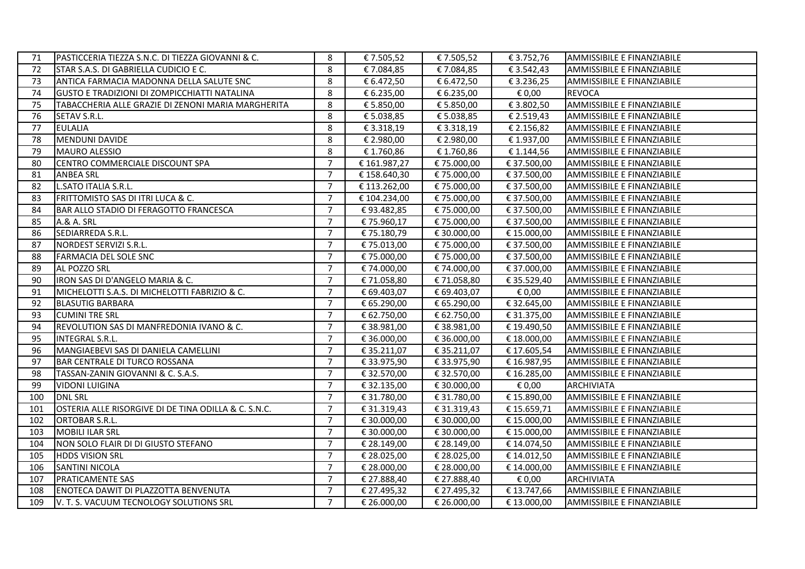| 71  | PASTICCERIA TIEZZA S.N.C. DI TIEZZA GIOVANNI & C.    | 8              | €7.505,52    | €7.505,52   | € 3.752,76  | AMMISSIBILE E FINANZIABILE        |
|-----|------------------------------------------------------|----------------|--------------|-------------|-------------|-----------------------------------|
| 72  | STAR S.A.S. DI GABRIELLA CUDICIO E C.                | 8              | €7.084,85    | €7.084,85   | € 3.542,43  | AMMISSIBILE E FINANZIABILE        |
| 73  | ANTICA FARMACIA MADONNA DELLA SALUTE SNC             | 8              | € 6.472,50   | € 6.472,50  | € 3.236,25  | AMMISSIBILE E FINANZIABILE        |
| 74  | <b>GUSTO E TRADIZIONI DI ZOMPICCHIATTI NATALINA</b>  | 8              | € 6.235,00   | € 6.235,00  | € 0,00      | <b>REVOCA</b>                     |
| 75  | TABACCHERIA ALLE GRAZIE DI ZENONI MARIA MARGHERITA   | 8              | € 5.850,00   | € 5.850,00  | € 3.802,50  | AMMISSIBILE E FINANZIABILE        |
| 76  | SETAV S.R.L.                                         | 8              | € 5.038,85   | € 5.038,85  | € 2.519,43  | AMMISSIBILE E FINANZIABILE        |
| 77  | <b>EULALIA</b>                                       | 8              | € 3.318,19   | € 3.318,19  | € 2.156,82  | AMMISSIBILE E FINANZIABILE        |
| 78  | MENDUNI DAVIDE                                       | 8              | € 2.980,00   | € 2.980,00  | € 1.937,00  | AMMISSIBILE E FINANZIABILE        |
| 79  | <b>MAURO ALESSIO</b>                                 | 8              | €1.760,86    | €1.760,86   | € 1.144,56  | AMMISSIBILE E FINANZIABILE        |
| 80  | CENTRO COMMERCIALE DISCOUNT SPA                      | $\overline{7}$ | €161.987,27  | € 75.000,00 | € 37.500,00 | AMMISSIBILE E FINANZIABILE        |
| 81  | <b>ANBEA SRL</b>                                     | $\overline{7}$ | € 158.640,30 | € 75.000,00 | € 37.500,00 | AMMISSIBILE E FINANZIABILE        |
| 82  | L.SATO ITALIA S.R.L.                                 | $\overline{7}$ | € 113.262,00 | € 75.000,00 | € 37.500,00 | AMMISSIBILE E FINANZIABILE        |
| 83  | FRITTOMISTO SAS DI ITRI LUCA & C.                    | $\overline{7}$ | € 104.234,00 | € 75.000,00 | € 37.500,00 | AMMISSIBILE E FINANZIABILE        |
| 84  | <b>BAR ALLO STADIO DI FERAGOTTO FRANCESCA</b>        | $\overline{7}$ | €93.482,85   | € 75.000,00 | € 37.500,00 | AMMISSIBILE E FINANZIABILE        |
| 85  | <b>A.&amp; A. SRL</b>                                | $\overline{7}$ | € 75.960,17  | € 75.000,00 | € 37.500,00 | AMMISSIBILE E FINANZIABILE        |
| 86  | SEDIARREDA S.R.L.                                    | $\overline{7}$ | € 75.180,79  | € 30.000,00 | € 15.000,00 | AMMISSIBILE E FINANZIABILE        |
| 87  | NORDEST SERVIZI S.R.L.                               | $\overline{7}$ | € 75.013,00  | € 75.000,00 | € 37.500,00 | AMMISSIBILE E FINANZIABILE        |
| 88  | <b>FARMACIA DEL SOLE SNC</b>                         | $\overline{7}$ | € 75.000,00  | € 75.000,00 | € 37.500,00 | AMMISSIBILE E FINANZIABILE        |
| 89  | AL POZZO SRL                                         | $\overline{7}$ | € 74.000,00  | € 74.000,00 | € 37.000,00 | AMMISSIBILE E FINANZIABILE        |
| 90  | IRON SAS DI D'ANGELO MARIA & C.                      | $\overline{7}$ | €71.058,80   | €71.058,80  | € 35.529,40 | AMMISSIBILE E FINANZIABILE        |
| 91  | MICHELOTTI S.A.S. DI MICHELOTTI FABRIZIO & C.        | $\overline{7}$ | € 69.403,07  | € 69.403,07 | € 0,00      | AMMISSIBILE E FINANZIABILE        |
| 92  | <b>BLASUTIG BARBARA</b>                              | $\overline{7}$ | € 65.290,00  | € 65.290,00 | € 32.645,00 | AMMISSIBILE E FINANZIABILE        |
| 93  | <b>CUMINI TRE SRL</b>                                | $\overline{7}$ | € 62.750,00  | € 62.750,00 | € 31.375,00 | AMMISSIBILE E FINANZIABILE        |
| 94  | REVOLUTION SAS DI MANFREDONIA IVANO & C.             | $\overline{7}$ | € 38.981,00  | € 38.981,00 | € 19.490,50 | AMMISSIBILE E FINANZIABILE        |
| 95  | INTEGRAL S.R.L.                                      | $\overline{7}$ | € 36.000,00  | € 36.000,00 | € 18.000,00 | AMMISSIBILE E FINANZIABILE        |
| 96  | MANGIAEBEVI SAS DI DANIELA CAMELLINI                 | $\overline{7}$ | € 35.211,07  | € 35.211,07 | € 17.605,54 | <b>AMMISSIBILE E FINANZIABILE</b> |
| 97  | <b>BAR CENTRALE DI TURCO ROSSANA</b>                 | $\overline{7}$ | € 33.975,90  | € 33.975,90 | € 16.987,95 | AMMISSIBILE E FINANZIABILE        |
| 98  | TASSAN-ZANIN GIOVANNI & C. S.A.S.                    | $\overline{7}$ | € 32.570,00  | € 32.570,00 | € 16.285,00 | AMMISSIBILE E FINANZIABILE        |
| 99  | <b>VIDONI LUIGINA</b>                                | $\overline{7}$ | € 32.135,00  | € 30.000,00 | € 0,00      | <b>ARCHIVIATA</b>                 |
| 100 | <b>DNL SRL</b>                                       | $\overline{7}$ | € 31.780,00  | € 31.780,00 | € 15.890,00 | AMMISSIBILE E FINANZIABILE        |
| 101 | OSTERIA ALLE RISORGIVE DI DE TINA ODILLA & C. S.N.C. | $\overline{7}$ | € 31.319,43  | € 31.319,43 | € 15.659,71 | <b>AMMISSIBILE E FINANZIABILE</b> |
| 102 | <b>ORTOBAR S.R.L.</b>                                | $\overline{7}$ | € 30.000,00  | € 30.000,00 | € 15.000,00 | AMMISSIBILE E FINANZIABILE        |
| 103 | MOBILI ILAR SRL                                      | $\overline{7}$ | € 30.000,00  | € 30.000,00 | € 15.000,00 | AMMISSIBILE E FINANZIABILE        |
| 104 | NON SOLO FLAIR DI DI GIUSTO STEFANO                  | $\overline{7}$ | € 28.149,00  | € 28.149,00 | € 14.074,50 | AMMISSIBILE E FINANZIABILE        |
| 105 | <b>HDDS VISION SRL</b>                               | $\overline{7}$ | € 28.025,00  | € 28.025,00 | € 14.012,50 | AMMISSIBILE E FINANZIABILE        |
| 106 | <b>SANTINI NICOLA</b>                                | $\overline{7}$ | € 28.000,00  | € 28.000,00 | € 14.000,00 | AMMISSIBILE E FINANZIABILE        |
| 107 | <b>PRATICAMENTE SAS</b>                              | $\overline{7}$ | € 27.888,40  | € 27.888,40 | € 0,00      | <b>ARCHIVIATA</b>                 |
| 108 | <b>ENOTECA DAWIT DI PLAZZOTTA BENVENUTA</b>          | $\overline{7}$ | € 27.495,32  | € 27.495,32 | € 13.747,66 | AMMISSIBILE E FINANZIABILE        |
| 109 | V. T. S. VACUUM TECNOLOGY SOLUTIONS SRL              | $\overline{7}$ | € 26.000,00  | € 26.000,00 | € 13.000,00 | AMMISSIBILE E FINANZIABILE        |
|     |                                                      |                |              |             |             |                                   |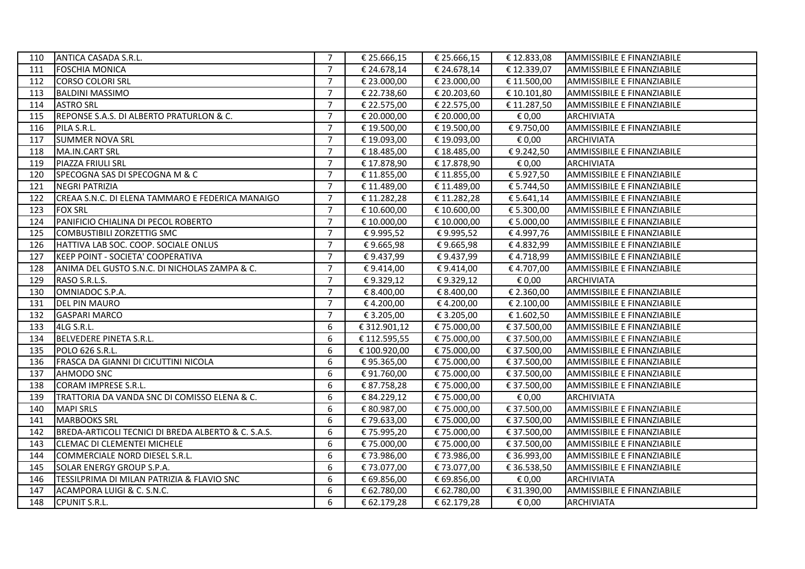| 110 | ANTICA CASADA S.R.L.                                | $\overline{7}$ | € 25.666,15  | € 25.666,15 | € 12.833,08 | AMMISSIBILE E FINANZIABILE        |
|-----|-----------------------------------------------------|----------------|--------------|-------------|-------------|-----------------------------------|
| 111 | <b>FOSCHIA MONICA</b>                               | $\overline{7}$ | € 24.678,14  | € 24.678,14 | € 12.339,07 | <b>AMMISSIBILE E FINANZIABILE</b> |
| 112 | <b>CORSO COLORI SRL</b>                             | $\overline{7}$ | € 23.000,00  | € 23.000,00 | € 11.500,00 | <b>AMMISSIBILE E FINANZIABILE</b> |
| 113 | <b>BALDINI MASSIMO</b>                              | $\overline{7}$ | € 22.738,60  | € 20.203,60 | € 10.101,80 | <b>AMMISSIBILE E FINANZIABILE</b> |
| 114 | <b>ASTRO SRL</b>                                    | $\overline{7}$ | € 22.575,00  | € 22.575,00 | € 11.287,50 | AMMISSIBILE E FINANZIABILE        |
| 115 | REPONSE S.A.S. DI ALBERTO PRATURLON & C.            | $\overline{7}$ | € 20.000,00  | € 20.000,00 | € 0,00      | <b>ARCHIVIATA</b>                 |
| 116 | PILA S.R.L.                                         | $\overline{7}$ | € 19.500,00  | € 19.500,00 | €9.750,00   | AMMISSIBILE E FINANZIABILE        |
| 117 | <b>SUMMER NOVA SRL</b>                              | $\overline{7}$ | € 19.093,00  | € 19.093,00 | € 0,00      | <b>ARCHIVIATA</b>                 |
| 118 | MA.IN.CART SRL                                      | $\overline{7}$ | € 18.485,00  | € 18.485,00 | €9.242,50   | AMMISSIBILE E FINANZIABILE        |
| 119 | PIAZZA FRIULI SRL                                   | $\overline{7}$ | € 17.878,90  | € 17.878,90 | € 0,00      | <b>ARCHIVIATA</b>                 |
| 120 | SPECOGNA SAS DI SPECOGNA M & C                      | $\overline{7}$ | € 11.855,00  | € 11.855,00 | € 5.927,50  | AMMISSIBILE E FINANZIABILE        |
| 121 | <b>NEGRI PATRIZIA</b>                               | $\overline{7}$ | € 11.489,00  | € 11.489,00 | € 5.744,50  | AMMISSIBILE E FINANZIABILE        |
| 122 | CREAA S.N.C. DI ELENA TAMMARO E FEDERICA MANAIGO    | $\overline{7}$ | €11.282,28   | €11.282,28  | € 5.641,14  | AMMISSIBILE E FINANZIABILE        |
| 123 | <b>FOX SRL</b>                                      | $\overline{7}$ | € 10.600,00  | € 10.600,00 | € 5.300,00  | AMMISSIBILE E FINANZIABILE        |
| 124 | PANIFICIO CHIALINA DI PECOL ROBERTO                 | $\overline{7}$ | € 10.000,00  | € 10.000,00 | € 5.000,00  | AMMISSIBILE E FINANZIABILE        |
| 125 | COMBUSTIBILI ZORZETTIG SMC                          | $\overline{7}$ | €9.995,52    | €9.995,52   | €4.997,76   | AMMISSIBILE E FINANZIABILE        |
| 126 | HATTIVA LAB SOC. COOP. SOCIALE ONLUS                | $\overline{7}$ | €9.665,98    | €9.665,98   | €4.832,99   | AMMISSIBILE E FINANZIABILE        |
| 127 | KEEP POINT - SOCIETA' COOPERATIVA                   | $\overline{7}$ | €9.437,99    | €9.437,99   | €4.718,99   | AMMISSIBILE E FINANZIABILE        |
| 128 | ANIMA DEL GUSTO S.N.C. DI NICHOLAS ZAMPA & C.       | $\overline{7}$ | € 9.414,00   | €9.414,00   | € 4.707,00  | AMMISSIBILE E FINANZIABILE        |
| 129 | RASO S.R.L.S.                                       | $\overline{7}$ | €9.329,12    | €9.329,12   | € 0,00      | <b>ARCHIVIATA</b>                 |
| 130 | OMNIADOC S.P.A.                                     | $\overline{7}$ | € 8.400,00   | € 8.400,00  | € 2.360,00  | AMMISSIBILE E FINANZIABILE        |
| 131 | <b>DEL PIN MAURO</b>                                | $\overline{7}$ | €4.200,00    | €4.200,00   | € 2.100,00  | AMMISSIBILE E FINANZIABILE        |
| 132 | <b>GASPARI MARCO</b>                                | $\overline{7}$ | € 3.205,00   | € 3.205,00  | € 1.602,50  | AMMISSIBILE E FINANZIABILE        |
| 133 | 4LG S.R.L.                                          | 6              | € 312.901,12 | € 75.000,00 | € 37.500,00 | AMMISSIBILE E FINANZIABILE        |
| 134 | <b>BELVEDERE PINETA S.R.L.</b>                      | 6              | € 112.595,55 | € 75.000,00 | € 37.500,00 | AMMISSIBILE E FINANZIABILE        |
| 135 | POLO 626 S.R.L.                                     | 6              | € 100.920,00 | € 75.000,00 | € 37.500,00 | AMMISSIBILE E FINANZIABILE        |
| 136 | FRASCA DA GIANNI DI CICUTTINI NICOLA                | 6              | €95.365,00   | € 75.000,00 | € 37.500,00 | AMMISSIBILE E FINANZIABILE        |
| 137 | <b>AHMODO SNC</b>                                   | 6              | €91.760,00   | € 75.000,00 | € 37.500,00 | <b>AMMISSIBILE E FINANZIABILE</b> |
| 138 | CORAM IMPRESE S.R.L.                                | 6              | € 87.758,28  | € 75.000,00 | € 37.500,00 | AMMISSIBILE E FINANZIABILE        |
| 139 | TRATTORIA DA VANDA SNC DI COMISSO ELENA & C.        | 6              | € 84.229,12  | € 75.000,00 | € 0,00      | <b>ARCHIVIATA</b>                 |
| 140 | <b>MAPI SRLS</b>                                    | 6              | € 80.987,00  | € 75.000,00 | € 37.500,00 | AMMISSIBILE E FINANZIABILE        |
| 141 | <b>MARBOOKS SRL</b>                                 | 6              | € 79.633,00  | € 75.000,00 | € 37.500,00 | AMMISSIBILE E FINANZIABILE        |
| 142 | BREDA-ARTICOLI TECNICI DI BREDA ALBERTO & C. S.A.S. | 6              | € 75.995,20  | € 75.000,00 | € 37.500,00 | AMMISSIBILE E FINANZIABILE        |
| 143 | <b>CLEMAC DI CLEMENTEI MICHELE</b>                  | 6              | € 75.000,00  | € 75.000,00 | € 37.500,00 | AMMISSIBILE E FINANZIABILE        |
| 144 | COMMERCIALE NORD DIESEL S.R.L.                      | 6              | €73.986,00   | €73.986,00  | € 36.993,00 | AMMISSIBILE E FINANZIABILE        |
| 145 | SOLAR ENERGY GROUP S.P.A.                           | 6              | € 73.077,00  | € 73.077,00 | € 36.538,50 | AMMISSIBILE E FINANZIABILE        |
| 146 | TESSILPRIMA DI MILAN PATRIZIA & FLAVIO SNC          | 6              | € 69.856,00  | € 69.856,00 | € 0,00      | <b>ARCHIVIATA</b>                 |
| 147 | ACAMPORA LUIGI & C. S.N.C.                          | 6              | € 62.780,00  | € 62.780,00 | € 31.390,00 | AMMISSIBILE E FINANZIABILE        |
| 148 | CPUNIT S.R.L.                                       | 6              | € 62.179,28  | € 62.179,28 | € 0,00      | <b>ARCHIVIATA</b>                 |
|     |                                                     |                |              |             |             |                                   |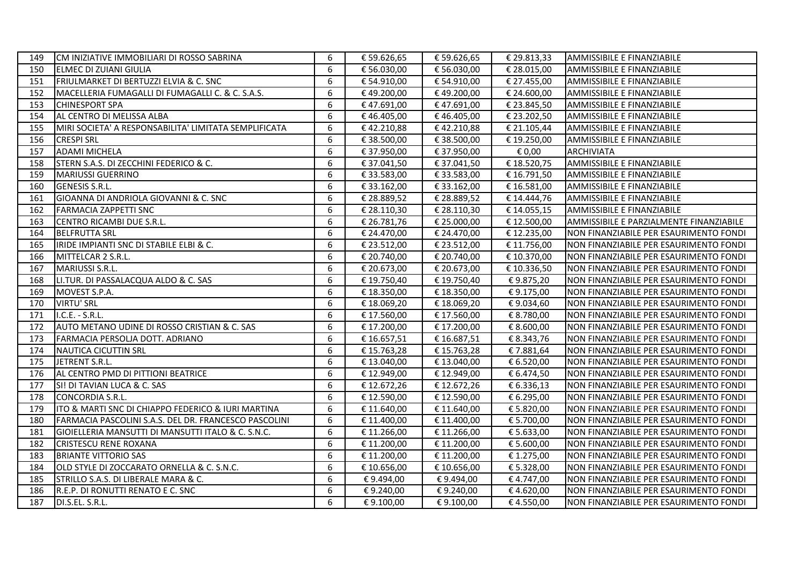| 149 | CM INIZIATIVE IMMOBILIARI DI ROSSO SABRINA            | 6 | € 59.626,65 | € 59.626,65 | € 29.813,33 | AMMISSIBILE E FINANZIABILE              |
|-----|-------------------------------------------------------|---|-------------|-------------|-------------|-----------------------------------------|
| 150 | ELMEC DI ZUIANI GIULIA                                | 6 | € 56.030,00 | € 56.030,00 | € 28.015,00 | AMMISSIBILE E FINANZIABILE              |
| 151 | FRIULMARKET DI BERTUZZI ELVIA & C. SNC                | 6 | € 54.910,00 | € 54.910,00 | € 27.455,00 | AMMISSIBILE E FINANZIABILE              |
| 152 | MACELLERIA FUMAGALLI DI FUMAGALLI C. & C. S.A.S.      | 6 | €49.200,00  | €49.200,00  | € 24.600,00 | AMMISSIBILE E FINANZIABILE              |
| 153 | <b>CHINESPORT SPA</b>                                 | 6 | €47.691,00  | €47.691,00  | € 23.845,50 | AMMISSIBILE E FINANZIABILE              |
| 154 | AL CENTRO DI MELISSA ALBA                             | 6 | €46.405,00  | €46.405,00  | € 23.202,50 | AMMISSIBILE E FINANZIABILE              |
| 155 | MIRI SOCIETA' A RESPONSABILITA' LIMITATA SEMPLIFICATA | 6 | €42.210,88  | €42.210,88  | € 21.105,44 | AMMISSIBILE E FINANZIABILE              |
| 156 | <b>CRESPI SRL</b>                                     | 6 | € 38.500,00 | € 38.500,00 | € 19.250,00 | AMMISSIBILE E FINANZIABILE              |
| 157 | <b>ADAMI MICHELA</b>                                  | 6 | € 37.950,00 | € 37.950,00 | € 0,00      | <b>ARCHIVIATA</b>                       |
| 158 | STERN S.A.S. DI ZECCHINI FEDERICO & C.                | 6 | € 37.041,50 | € 37.041,50 | € 18.520,75 | AMMISSIBILE E FINANZIABILE              |
| 159 | <b>MARIUSSI GUERRINO</b>                              | 6 | € 33.583,00 | € 33.583,00 | € 16.791,50 | AMMISSIBILE E FINANZIABILE              |
| 160 | <b>GENESIS S.R.L.</b>                                 | 6 | € 33.162,00 | € 33.162,00 | € 16.581,00 | AMMISSIBILE E FINANZIABILE              |
| 161 | GIOANNA DI ANDRIOLA GIOVANNI & C. SNC                 | 6 | € 28.889,52 | € 28.889,52 | € 14.444,76 | AMMISSIBILE E FINANZIABILE              |
| 162 | <b>FARMACIA ZAPPETTI SNC</b>                          | 6 | € 28.110,30 | € 28.110,30 | € 14.055,15 | AMMISSIBILE E FINANZIABILE              |
| 163 | CENTRO RICAMBI DUE S.R.L.                             | 6 | € 26.781,76 | € 25.000,00 | € 12.500,00 | AMMISSIBILE E PARZIALMENTE FINANZIABILE |
| 164 | <b>BELFRUTTA SRL</b>                                  | 6 | € 24.470,00 | € 24.470,00 | € 12.235,00 | NON FINANZIABILE PER ESAURIMENTO FONDI  |
| 165 | IRIDE IMPIANTI SNC DI STABILE ELBI & C.               | 6 | € 23.512,00 | € 23.512,00 | € 11.756,00 | NON FINANZIABILE PER ESAURIMENTO FONDI  |
| 166 | MITTELCAR 2 S.R.L.                                    | 6 | € 20.740,00 | € 20.740,00 | € 10.370,00 | NON FINANZIABILE PER ESAURIMENTO FONDI  |
| 167 | MARIUSSI S.R.L.                                       | 6 | € 20.673,00 | € 20.673,00 | € 10.336,50 | NON FINANZIABILE PER ESAURIMENTO FONDI  |
| 168 | LI.TUR. DI PASSALACQUA ALDO & C. SAS                  | 6 | € 19.750,40 | € 19.750,40 | €9.875,20   | NON FINANZIABILE PER ESAURIMENTO FONDI  |
| 169 | MOVEST S.P.A.                                         | 6 | € 18.350,00 | € 18.350,00 | € 9.175,00  | NON FINANZIABILE PER ESAURIMENTO FONDI  |
| 170 | <b>VIRTU' SRL</b>                                     | 6 | € 18.069,20 | € 18.069,20 | €9.034,60   | NON FINANZIABILE PER ESAURIMENTO FONDI  |
| 171 | I.C.E. - S.R.L.                                       | 6 | € 17.560,00 | €17.560,00  | € 8.780,00  | NON FINANZIABILE PER ESAURIMENTO FONDI  |
| 172 | AUTO METANO UDINE DI ROSSO CRISTIAN & C. SAS          | 6 | € 17.200,00 | € 17.200,00 | € 8.600,00  | NON FINANZIABILE PER ESAURIMENTO FONDI  |
| 173 | FARMACIA PERSOLJA DOTT. ADRIANO                       | 6 | € 16.657,51 | €16.687,51  | € 8.343,76  | NON FINANZIABILE PER ESAURIMENTO FONDI  |
| 174 | <b>NAUTICA CICUTTIN SRL</b>                           | 6 | €15.763,28  | €15.763,28  | €7.881,64   | NON FINANZIABILE PER ESAURIMENTO FONDI  |
| 175 | JETRENT S.R.L.                                        | 6 | € 13.040,00 | € 13.040,00 | € 6.520,00  | NON FINANZIABILE PER ESAURIMENTO FONDI  |
| 176 | AL CENTRO PMD DI PITTIONI BEATRICE                    | 6 | € 12.949,00 | € 12.949,00 | € 6.474,50  | NON FINANZIABILE PER ESAURIMENTO FONDI  |
| 177 | SI! DI TAVIAN LUCA & C. SAS                           | 6 | € 12.672,26 | €12.672,26  | € 6.336,13  | NON FINANZIABILE PER ESAURIMENTO FONDI  |
| 178 | <b>CONCORDIA S.R.L.</b>                               | 6 | € 12.590,00 | € 12.590,00 | € 6.295,00  | NON FINANZIABILE PER ESAURIMENTO FONDI  |
| 179 | ITO & MARTI SNC DI CHIAPPO FEDERICO & IURI MARTINA    | 6 | € 11.640,00 | € 11.640,00 | € 5.820,00  | NON FINANZIABILE PER ESAURIMENTO FONDI  |
| 180 | FARMACIA PASCOLINI S.A.S. DEL DR. FRANCESCO PASCOLINI | 6 | € 11.400,00 | € 11.400,00 | € 5.700,00  | NON FINANZIABILE PER ESAURIMENTO FONDI  |
| 181 | GIOIELLERIA MANSUTTI DI MANSUTTI ITALO & C. S.N.C.    | 6 | € 11.266,00 | € 11.266,00 | € 5.633,00  | NON FINANZIABILE PER ESAURIMENTO FONDI  |
| 182 | <b>CRISTESCU RENE ROXANA</b>                          | 6 | € 11.200,00 | € 11.200,00 | € 5.600,00  | NON FINANZIABILE PER ESAURIMENTO FONDI  |
| 183 | <b>BRIANTE VITTORIO SAS</b>                           | 6 | € 11.200,00 | € 11.200,00 | € 1.275,00  | NON FINANZIABILE PER ESAURIMENTO FONDI  |
| 184 | OLD STYLE DI ZOCCARATO ORNELLA & C. S.N.C.            | 6 | € 10.656,00 | € 10.656,00 | € 5.328,00  | NON FINANZIABILE PER ESAURIMENTO FONDI  |
| 185 | STRILLO S.A.S. DI LIBERALE MARA & C.                  | 6 | €9.494,00   | €9.494,00   | €4.747,00   | NON FINANZIABILE PER ESAURIMENTO FONDI  |
| 186 | R.E.P. DI RONUTTI RENATO E C. SNC                     | 6 | €9.240,00   | €9.240,00   | €4.620,00   | NON FINANZIABILE PER ESAURIMENTO FONDI  |
| 187 | DI.S.EL. S.R.L.                                       | 6 | € 9.100,00  | €9.100,00   | €4.550,00   | NON FINANZIABILE PER ESAURIMENTO FONDI  |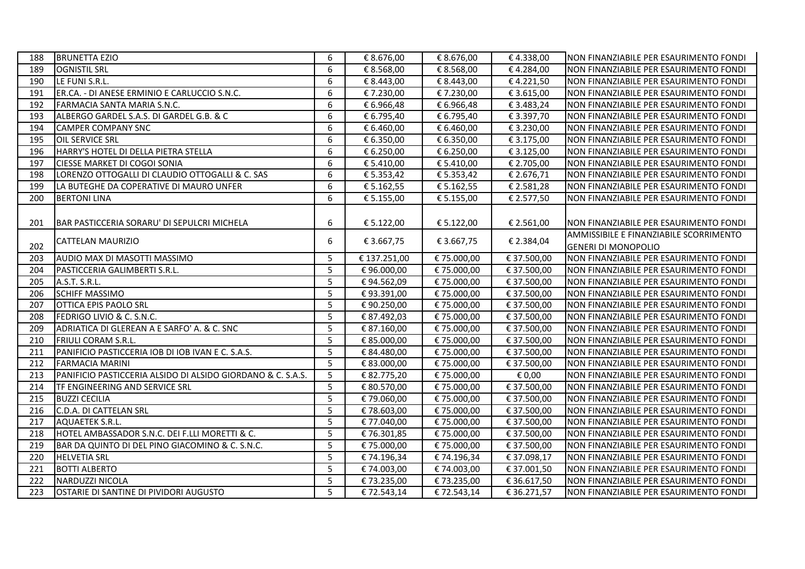| 188 | <b>BRUNETTA EZIO</b>                                        | 6 | € 8.676,00   | € 8.676,00  | €4.338,00   | NON FINANZIABILE PER ESAURIMENTO FONDI |
|-----|-------------------------------------------------------------|---|--------------|-------------|-------------|----------------------------------------|
| 189 | <b>OGNISTIL SRL</b>                                         | 6 | € 8.568,00   | € 8.568,00  | €4.284,00   | NON FINANZIABILE PER ESAURIMENTO FONDI |
| 190 | LE FUNI S.R.L.                                              | 6 | € 8.443,00   | € 8.443,00  | €4.221,50   | NON FINANZIABILE PER ESAURIMENTO FONDI |
| 191 | ER.CA. - DI ANESE ERMINIO E CARLUCCIO S.N.C.                | 6 | € 7.230,00   | € 7.230,00  | € 3.615,00  | NON FINANZIABILE PER ESAURIMENTO FONDI |
| 192 | FARMACIA SANTA MARIA S.N.C.                                 | 6 | € 6.966,48   | € 6.966,48  | € 3.483,24  | NON FINANZIABILE PER ESAURIMENTO FONDI |
| 193 | ALBERGO GARDEL S.A.S. DI GARDEL G.B. & C                    | 6 | € 6.795,40   | € 6.795,40  | € 3.397,70  | NON FINANZIABILE PER ESAURIMENTO FONDI |
| 194 | <b>CAMPER COMPANY SNC</b>                                   | 6 | € 6.460,00   | € 6.460,00  | € 3.230,00  | NON FINANZIABILE PER ESAURIMENTO FONDI |
| 195 | OIL SERVICE SRL                                             | 6 | € 6.350,00   | € 6.350,00  | € 3.175,00  | NON FINANZIABILE PER ESAURIMENTO FONDI |
| 196 | HARRY'S HOTEL DI DELLA PIETRA STELLA                        | 6 | € 6.250,00   | € 6.250,00  | € 3.125,00  | NON FINANZIABILE PER ESAURIMENTO FONDI |
| 197 | CIESSE MARKET DI COGOI SONIA                                | 6 | € 5.410,00   | € 5.410,00  | € 2.705,00  | NON FINANZIABILE PER ESAURIMENTO FONDI |
| 198 | LORENZO OTTOGALLI DI CLAUDIO OTTOGALLI & C. SAS             | 6 | € 5.353,42   | € 5.353,42  | € 2.676,71  | NON FINANZIABILE PER ESAURIMENTO FONDI |
| 199 | LA BUTEGHE DA COPERATIVE DI MAURO UNFER                     | 6 | € 5.162,55   | € 5.162,55  | € 2.581,28  | NON FINANZIABILE PER ESAURIMENTO FONDI |
| 200 | <b>BERTONI LINA</b>                                         | 6 | € 5.155,00   | € 5.155,00  | € 2.577,50  | NON FINANZIABILE PER ESAURIMENTO FONDI |
|     |                                                             |   |              |             |             |                                        |
| 201 | BAR PASTICCERIA SORARU' DI SEPULCRI MICHELA                 | 6 | € 5.122,00   | € 5.122,00  | € 2.561,00  | NON FINANZIABILE PER ESAURIMENTO FONDI |
|     |                                                             |   |              |             |             | AMMISSIBILE E FINANZIABILE SCORRIMENTO |
| 202 | CATTELAN MAURIZIO                                           | 6 | € 3.667,75   | € 3.667,75  | € 2.384,04  | <b>GENERI DI MONOPOLIO</b>             |
| 203 | AUDIO MAX DI MASOTTI MASSIMO                                | 5 | € 137.251,00 | €75.000,00  | € 37.500,00 | NON FINANZIABILE PER ESAURIMENTO FONDI |
| 204 | PASTICCERIA GALIMBERTI S.R.L.                               | 5 | €96.000,00   | € 75.000,00 | € 37.500,00 | NON FINANZIABILE PER ESAURIMENTO FONDI |
| 205 | A.S.T. S.R.L.                                               | 5 | €94.562,09   | € 75.000,00 | € 37.500,00 | NON FINANZIABILE PER ESAURIMENTO FONDI |
| 206 | <b>SCHIFF MASSIMO</b>                                       | 5 | €93.391,00   | € 75.000,00 | € 37.500,00 | NON FINANZIABILE PER ESAURIMENTO FONDI |
| 207 | OTTICA EPIS PAOLO SRL                                       | 5 | € 90.250,00  | € 75.000,00 | € 37.500,00 | NON FINANZIABILE PER ESAURIMENTO FONDI |
| 208 | FEDRIGO LIVIO & C. S.N.C.                                   | 5 | € 87.492,03  | € 75.000,00 | € 37.500,00 | NON FINANZIABILE PER ESAURIMENTO FONDI |
| 209 | ADRIATICA DI GLEREAN A E SARFO' A. & C. SNC                 | 5 | € 87.160,00  | € 75.000,00 | € 37.500,00 | NON FINANZIABILE PER ESAURIMENTO FONDI |
| 210 | <b>FRIULI CORAM S.R.L.</b>                                  | 5 | € 85.000,00  | € 75.000,00 | € 37.500,00 | NON FINANZIABILE PER ESAURIMENTO FONDI |
| 211 | PANIFICIO PASTICCERIA IOB DI IOB IVAN E C. S.A.S.           | 5 | € 84.480,00  | € 75.000,00 | € 37.500,00 | NON FINANZIABILE PER ESAURIMENTO FONDI |
| 212 | <b>FARMACIA MARINI</b>                                      | 5 | € 83.000,00  | € 75.000,00 | € 37.500,00 | NON FINANZIABILE PER ESAURIMENTO FONDI |
| 213 | PANIFICIO PASTICCERIA ALSIDO DI ALSIDO GIORDANO & C. S.A.S. | 5 | € 82.775,20  | € 75.000,00 | € 0,00      | NON FINANZIABILE PER ESAURIMENTO FONDI |
| 214 | <b>TF ENGINEERING AND SERVICE SRL</b>                       | 5 | € 80.570,00  | € 75.000,00 | € 37.500,00 | NON FINANZIABILE PER ESAURIMENTO FONDI |
| 215 | <b>BUZZI CECILIA</b>                                        | 5 | € 79.060,00  | € 75.000,00 | € 37.500,00 | NON FINANZIABILE PER ESAURIMENTO FONDI |
| 216 | C.D.A. DI CATTELAN SRL                                      | 5 | €78.603,00   | € 75.000,00 | € 37.500,00 | NON FINANZIABILE PER ESAURIMENTO FONDI |
| 217 | AQUAETEK S.R.L.                                             | 5 | € 77.040,00  | € 75.000,00 | € 37.500,00 | NON FINANZIABILE PER ESAURIMENTO FONDI |
| 218 | HOTEL AMBASSADOR S.N.C. DEI F.LLI MORETTI & C.              | 5 | € 76.301,85  | € 75.000,00 | € 37.500,00 | NON FINANZIABILE PER ESAURIMENTO FONDI |
| 219 | BAR DA QUINTO DI DEL PINO GIACOMINO & C. S.N.C.             | 5 | € 75.000,00  | € 75.000,00 | € 37.500,00 | NON FINANZIABILE PER ESAURIMENTO FONDI |
| 220 | <b>HELVETIA SRL</b>                                         | 5 | €74.196,34   | €74.196,34  | € 37.098,17 | NON FINANZIABILE PER ESAURIMENTO FONDI |
| 221 | <b>BOTTI ALBERTO</b>                                        | 5 | € 74.003,00  | € 74.003,00 | € 37.001,50 | NON FINANZIABILE PER ESAURIMENTO FONDI |
| 222 | NARDUZZI NICOLA                                             | 5 | € 73.235,00  | € 73.235,00 | € 36.617,50 | NON FINANZIABILE PER ESAURIMENTO FONDI |
| 223 | OSTARIE DI SANTINE DI PIVIDORI AUGUSTO                      | 5 | €72.543,14   | € 72.543,14 | € 36.271,57 | NON FINANZIABILE PER ESAURIMENTO FONDI |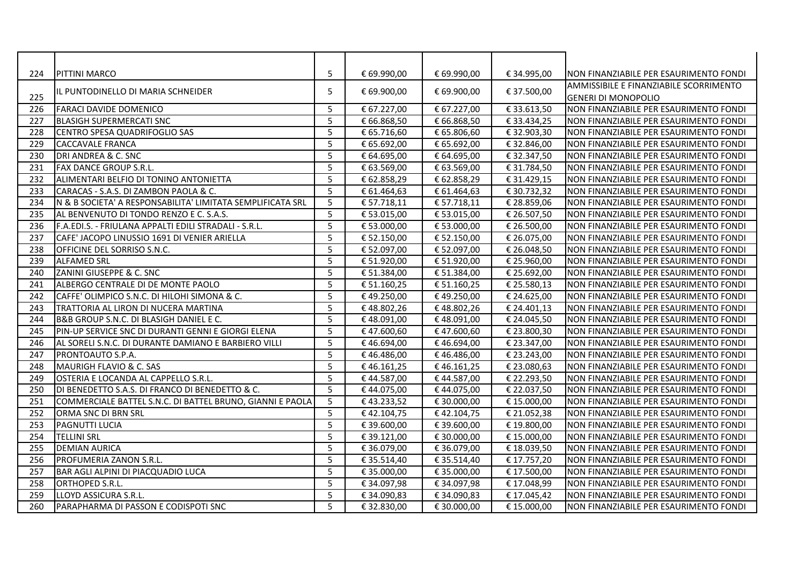| 224 | <b>PITTINI MARCO</b>                                       | 5 | € 69.990,00 | € 69.990,00 | € 34.995,00 | NON FINANZIABILE PER ESAURIMENTO FONDI |
|-----|------------------------------------------------------------|---|-------------|-------------|-------------|----------------------------------------|
|     |                                                            |   |             |             |             | AMMISSIBILE E FINANZIABILE SCORRIMENTO |
| 225 | IL PUNTODINELLO DI MARIA SCHNEIDER                         | 5 | € 69.900,00 | € 69.900,00 | € 37.500,00 | <b>GENERI DI MONOPOLIO</b>             |
| 226 | FARACI DAVIDE DOMENICO                                     | 5 | € 67.227,00 | € 67.227,00 | € 33.613,50 | NON FINANZIABILE PER ESAURIMENTO FONDI |
| 227 | <b>BLASIGH SUPERMERCATI SNC</b>                            | 5 | € 66.868,50 | € 66.868,50 | € 33.434,25 | NON FINANZIABILE PER ESAURIMENTO FONDI |
| 228 | CENTRO SPESA QUADRIFOGLIO SAS                              | 5 | € 65.716,60 | € 65.806,60 | € 32.903,30 | NON FINANZIABILE PER ESAURIMENTO FONDI |
| 229 | CACCAVALE FRANCA                                           | 5 | € 65.692,00 | € 65.692,00 | € 32.846,00 | NON FINANZIABILE PER ESAURIMENTO FONDI |
| 230 | DRI ANDREA & C. SNC                                        | 5 | € 64.695,00 | € 64.695,00 | € 32.347,50 | NON FINANZIABILE PER ESAURIMENTO FONDI |
| 231 | <b>FAX DANCE GROUP S.R.L.</b>                              | 5 | € 63.569,00 | € 63.569,00 | € 31.784,50 | NON FINANZIABILE PER ESAURIMENTO FONDI |
| 232 | ALIMENTARI BELFIO DI TONINO ANTONIETTA                     | 5 | € 62.858,29 | € 62.858,29 | € 31.429,15 | NON FINANZIABILE PER ESAURIMENTO FONDI |
| 233 | CARACAS - S.A.S. DI ZAMBON PAOLA & C.                      | 5 | € 61.464,63 | € 61.464,63 | € 30.732,32 | NON FINANZIABILE PER ESAURIMENTO FONDI |
| 234 | N & B SOCIETA' A RESPONSABILITA' LIMITATA SEMPLIFICATA SRL | 5 | € 57.718,11 | € 57.718,11 | € 28.859,06 | NON FINANZIABILE PER ESAURIMENTO FONDI |
| 235 | AL BENVENUTO DI TONDO RENZO E C. S.A.S.                    | 5 | € 53.015,00 | € 53.015,00 | € 26.507,50 | NON FINANZIABILE PER ESAURIMENTO FONDI |
| 236 | F.A.EDI.S. - FRIULANA APPALTI EDILI STRADALI - S.R.L.      | 5 | € 53.000,00 | € 53.000,00 | € 26.500,00 | NON FINANZIABILE PER ESAURIMENTO FONDI |
| 237 | CAFE' JACOPO LINUSSIO 1691 DI VENIER ARIELLA               | 5 | € 52.150,00 | € 52.150,00 | € 26.075,00 | NON FINANZIABILE PER ESAURIMENTO FONDI |
| 238 | OFFICINE DEL SORRISO S.N.C.                                | 5 | € 52.097,00 | € 52.097,00 | € 26.048,50 | NON FINANZIABILE PER ESAURIMENTO FONDI |
| 239 | <b>ALFAMED SRL</b>                                         | 5 | € 51.920,00 | € 51.920,00 | € 25.960,00 | NON FINANZIABILE PER ESAURIMENTO FONDI |
| 240 | ZANINI GIUSEPPE & C. SNC                                   | 5 | € 51.384,00 | € 51.384,00 | € 25.692,00 | NON FINANZIABILE PER ESAURIMENTO FONDI |
| 241 | ALBERGO CENTRALE DI DE MONTE PAOLO                         | 5 | € 51.160,25 | € 51.160,25 | € 25.580,13 | NON FINANZIABILE PER ESAURIMENTO FONDI |
| 242 | CAFFE' OLIMPICO S.N.C. DI HILOHI SIMONA & C.               | 5 | €49.250,00  | €49.250,00  | € 24.625,00 | NON FINANZIABILE PER ESAURIMENTO FONDI |
| 243 | TRATTORIA AL LIRON DI NUCERA MARTINA                       | 5 | €48.802,26  | €48.802,26  | € 24.401,13 | NON FINANZIABILE PER ESAURIMENTO FONDI |
| 244 | B&B GROUP S.N.C. DI BLASIGH DANIEL E C.                    | 5 | €48.091,00  | €48.091,00  | € 24.045,50 | NON FINANZIABILE PER ESAURIMENTO FONDI |
| 245 | PIN-UP SERVICE SNC DI DURANTI GENNI E GIORGI ELENA         | 5 | €47.600,60  | €47.600,60  | € 23.800,30 | NON FINANZIABILE PER ESAURIMENTO FONDI |
| 246 | AL SORELI S.N.C. DI DURANTE DAMIANO E BARBIERO VILLI       | 5 | €46.694,00  | €46.694,00  | € 23.347,00 | NON FINANZIABILE PER ESAURIMENTO FONDI |
| 247 | PRONTOAUTO S.P.A.                                          | 5 | €46.486,00  | €46.486,00  | € 23.243,00 | NON FINANZIABILE PER ESAURIMENTO FONDI |
| 248 | MAURIGH FLAVIO & C. SAS                                    | 5 | €46.161,25  | €46.161,25  | € 23.080,63 | NON FINANZIABILE PER ESAURIMENTO FONDI |
| 249 | OSTERIA E LOCANDA AL CAPPELLO S.R.L.                       | 5 | €44.587,00  | €44.587,00  | € 22.293,50 | NON FINANZIABILE PER ESAURIMENTO FONDI |
| 250 | DI BENEDETTO S.A.S. DI FRANCO DI BENEDETTO & C.            | 5 | €44.075,00  | €44.075,00  | € 22.037,50 | NON FINANZIABILE PER ESAURIMENTO FONDI |
| 251 | COMMERCIALE BATTEL S.N.C. DI BATTEL BRUNO, GIANNI E PAOLA  | 5 | €43.233,52  | € 30.000,00 | € 15.000,00 | NON FINANZIABILE PER ESAURIMENTO FONDI |
| 252 | <b>ORMA SNC DI BRN SRL</b>                                 | 5 | €42.104,75  | €42.104,75  | € 21.052,38 | NON FINANZIABILE PER ESAURIMENTO FONDI |
| 253 | <b>I</b> PAGNUTTI LUCIA                                    | 5 | € 39.600,00 | € 39.600,00 | € 19.800,00 | NON FINANZIABILE PER ESAURIMENTO FONDI |
| 254 | <b>TELLINI SRL</b>                                         | 5 | € 39.121,00 | € 30.000,00 | € 15.000,00 | NON FINANZIABILE PER ESAURIMENTO FONDI |
| 255 | <b>DEMIAN AURICA</b>                                       | 5 | € 36.079,00 | € 36.079,00 | € 18.039,50 | NON FINANZIABILE PER ESAURIMENTO FONDI |
| 256 | <b>PROFUMERIA ZANON S.R.L.</b>                             | 5 | € 35.514,40 | € 35.514,40 | € 17.757,20 | NON FINANZIABILE PER ESAURIMENTO FONDI |
| 257 | BAR AGLI ALPINI DI PIACQUADIO LUCA                         | 5 | € 35.000,00 | € 35.000,00 | € 17.500,00 | NON FINANZIABILE PER ESAURIMENTO FONDI |
| 258 | <b>ORTHOPED S.R.L.</b>                                     | 5 | € 34.097,98 | € 34.097,98 | € 17.048,99 | NON FINANZIABILE PER ESAURIMENTO FONDI |
| 259 | LLOYD ASSICURA S.R.L.                                      | 5 | € 34.090,83 | € 34.090,83 | € 17.045,42 | NON FINANZIABILE PER ESAURIMENTO FONDI |
| 260 | PARAPHARMA DI PASSON E CODISPOTI SNC                       | 5 | € 32.830,00 | € 30.000,00 | € 15.000,00 | NON FINANZIABILE PER ESAURIMENTO FONDI |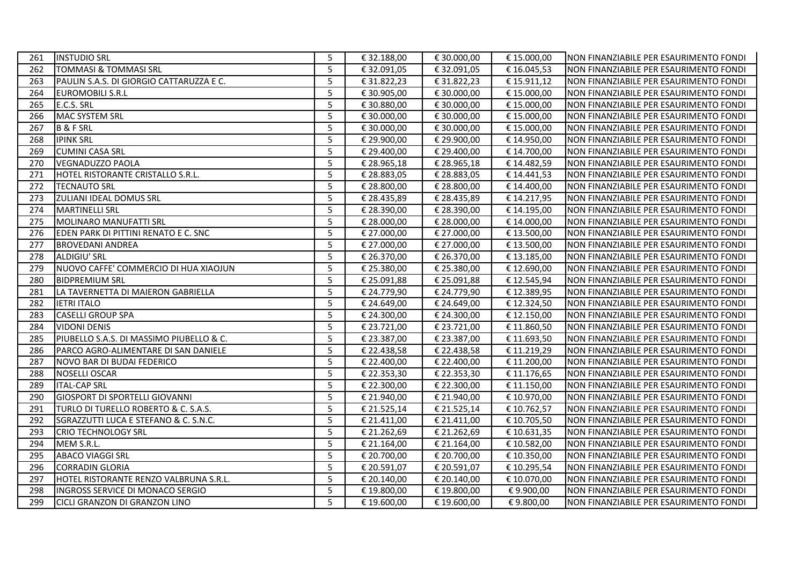| 261 | <b>INSTUDIO SRL</b>                      | 5 | € 32.188,00 | € 30.000,00 | € 15.000,00 | NON FINANZIABILE PER ESAURIMENTO FONDI |
|-----|------------------------------------------|---|-------------|-------------|-------------|----------------------------------------|
| 262 | TOMMASI & TOMMASI SRL                    | 5 | € 32.091,05 | €32.091,05  | € 16.045,53 | NON FINANZIABILE PER ESAURIMENTO FONDI |
| 263 | PAULIN S.A.S. DI GIORGIO CATTARUZZA E C. | 5 | € 31.822,23 | €31.822,23  | € 15.911,12 | NON FINANZIABILE PER ESAURIMENTO FONDI |
| 264 | <b>EUROMOBILI S.R.L</b>                  | 5 | € 30.905,00 | € 30.000,00 | € 15.000,00 | NON FINANZIABILE PER ESAURIMENTO FONDI |
| 265 | E.C.S. SRL                               | 5 | € 30.880,00 | € 30.000,00 | € 15.000,00 | NON FINANZIABILE PER ESAURIMENTO FONDI |
| 266 | MAC SYSTEM SRL                           | 5 | € 30.000,00 | € 30.000,00 | € 15.000,00 | NON FINANZIABILE PER ESAURIMENTO FONDI |
| 267 | <b>B&amp;FSRL</b>                        | 5 | € 30.000,00 | € 30.000,00 | € 15.000,00 | NON FINANZIABILE PER ESAURIMENTO FONDI |
| 268 | <b>IPINK SRL</b>                         | 5 | € 29.900,00 | € 29.900,00 | € 14.950,00 | NON FINANZIABILE PER ESAURIMENTO FONDI |
| 269 | <b>CUMINI CASA SRL</b>                   | 5 | € 29.400,00 | € 29.400,00 | € 14.700,00 | NON FINANZIABILE PER ESAURIMENTO FONDI |
| 270 | VEGNADUZZO PAOLA                         | 5 | € 28.965,18 | € 28.965,18 | € 14.482,59 | NON FINANZIABILE PER ESAURIMENTO FONDI |
| 271 | HOTEL RISTORANTE CRISTALLO S.R.L.        | 5 | € 28.883,05 | € 28.883,05 | € 14.441,53 | NON FINANZIABILE PER ESAURIMENTO FONDI |
| 272 | <b>TECNAUTO SRL</b>                      | 5 | € 28.800,00 | € 28.800,00 | € 14.400,00 | NON FINANZIABILE PER ESAURIMENTO FONDI |
| 273 | <b>ZULIANI IDEAL DOMUS SRL</b>           | 5 | € 28.435,89 | € 28.435,89 | € 14.217,95 | NON FINANZIABILE PER ESAURIMENTO FONDI |
| 274 | <b>MARTINELLI SRL</b>                    | 5 | € 28.390,00 | € 28.390,00 | € 14.195,00 | NON FINANZIABILE PER ESAURIMENTO FONDI |
| 275 | MOLINARO MANUFATTI SRL                   | 5 | € 28.000,00 | € 28.000,00 | € 14.000,00 | NON FINANZIABILE PER ESAURIMENTO FONDI |
| 276 | EDEN PARK DI PITTINI RENATO E C. SNC     | 5 | € 27.000,00 | € 27.000,00 | € 13.500,00 | NON FINANZIABILE PER ESAURIMENTO FONDI |
| 277 | <b>BROVEDANI ANDREA</b>                  | 5 | € 27.000,00 | € 27.000,00 | € 13.500,00 | NON FINANZIABILE PER ESAURIMENTO FONDI |
| 278 | ALDIGIU' SRL                             | 5 | € 26.370,00 | € 26.370,00 | € 13.185,00 | NON FINANZIABILE PER ESAURIMENTO FONDI |
| 279 | NUOVO CAFFE' COMMERCIO DI HUA XIAOJUN    | 5 | € 25.380,00 | € 25.380,00 | € 12.690,00 | NON FINANZIABILE PER ESAURIMENTO FONDI |
| 280 | <b>BIDPREMIUM SRL</b>                    | 5 | € 25.091,88 | € 25.091,88 | € 12.545,94 | NON FINANZIABILE PER ESAURIMENTO FONDI |
| 281 | LA TAVERNETTA DI MAIERON GABRIELLA       | 5 | € 24.779,90 | € 24.779,90 | € 12.389,95 | NON FINANZIABILE PER ESAURIMENTO FONDI |
| 282 | <b>I</b> IETRI ITALO                     | 5 | € 24.649,00 | € 24.649,00 | € 12.324,50 | NON FINANZIABILE PER ESAURIMENTO FONDI |
| 283 | <b>CASELLI GROUP SPA</b>                 | 5 | € 24.300,00 | € 24.300,00 | € 12.150,00 | NON FINANZIABILE PER ESAURIMENTO FONDI |
| 284 | <b>VIDONI DENIS</b>                      | 5 | € 23.721,00 | € 23.721,00 | € 11.860,50 | NON FINANZIABILE PER ESAURIMENTO FONDI |
| 285 | PIUBELLO S.A.S. DI MASSIMO PIUBELLO & C. | 5 | € 23.387,00 | € 23.387,00 | € 11.693,50 | NON FINANZIABILE PER ESAURIMENTO FONDI |
| 286 | PARCO AGRO-ALIMENTARE DI SAN DANIELE     | 5 | € 22.438,58 | € 22.438,58 | € 11.219,29 | NON FINANZIABILE PER ESAURIMENTO FONDI |
| 287 | NOVO BAR DI BUDAI FEDERICO               | 5 | € 22.400,00 | € 22.400,00 | € 11.200,00 | NON FINANZIABILE PER ESAURIMENTO FONDI |
| 288 | NOSELLI OSCAR                            | 5 | € 22.353,30 | € 22.353,30 | € 11.176,65 | NON FINANZIABILE PER ESAURIMENTO FONDI |
| 289 | <b>ITAL-CAP SRL</b>                      | 5 | € 22.300,00 | € 22.300,00 | € 11.150,00 | NON FINANZIABILE PER ESAURIMENTO FONDI |
| 290 | <b>GIOSPORT DI SPORTELLI GIOVANNI</b>    | 5 | € 21.940,00 | € 21.940,00 | € 10.970,00 | NON FINANZIABILE PER ESAURIMENTO FONDI |
| 291 | TURLO DI TURELLO ROBERTO & C. S.A.S.     | 5 | € 21.525,14 | € 21.525,14 | € 10.762,57 | NON FINANZIABILE PER ESAURIMENTO FONDI |
| 292 | SGRAZZUTTI LUCA E STEFANO & C. S.N.C.    | 5 | € 21.411,00 | € 21.411,00 | € 10.705,50 | NON FINANZIABILE PER ESAURIMENTO FONDI |
| 293 | <b>CRIO TECHNOLOGY SRL</b>               | 5 | € 21.262,69 | € 21.262,69 | € 10.631,35 | NON FINANZIABILE PER ESAURIMENTO FONDI |
| 294 | MEM S.R.L.                               | 5 | € 21.164,00 | € 21.164,00 | € 10.582,00 | NON FINANZIABILE PER ESAURIMENTO FONDI |
| 295 | <b>ABACO VIAGGI SRL</b>                  | 5 | € 20.700,00 | € 20.700,00 | € 10.350,00 | NON FINANZIABILE PER ESAURIMENTO FONDI |
| 296 | <b>CORRADIN GLORIA</b>                   | 5 | € 20.591,07 | € 20.591,07 | € 10.295,54 | NON FINANZIABILE PER ESAURIMENTO FONDI |
| 297 | HOTEL RISTORANTE RENZO VALBRUNA S.R.L.   | 5 | € 20.140,00 | € 20.140,00 | € 10.070,00 | NON FINANZIABILE PER ESAURIMENTO FONDI |
| 298 | INGROSS SERVICE DI MONACO SERGIO         | 5 | € 19.800,00 | € 19.800,00 | €9.900,00   | NON FINANZIABILE PER ESAURIMENTO FONDI |
| 299 | <b>CICLI GRANZON DI GRANZON LINO</b>     | 5 | € 19.600,00 | € 19.600,00 | €9.800,00   | NON FINANZIABILE PER ESAURIMENTO FONDI |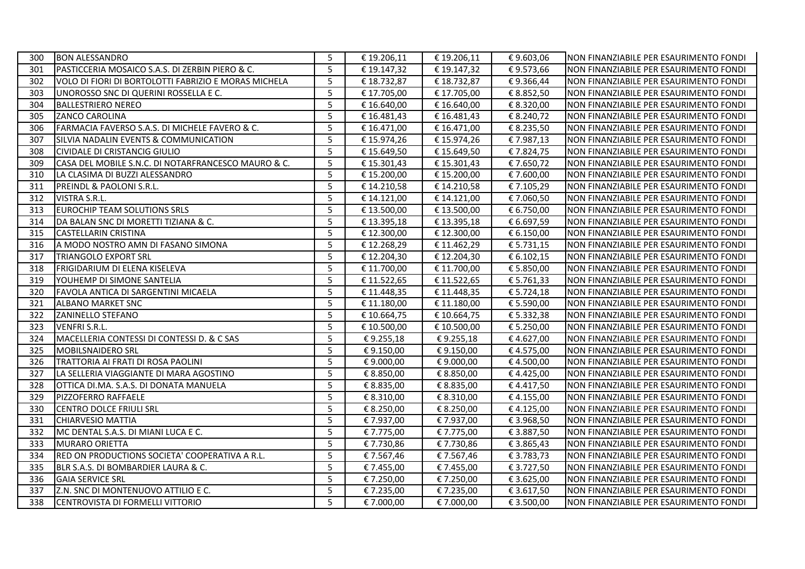| 300 | <b>BON ALESSANDRO</b>                                | 5 | € 19.206,11 | € 19.206,11 | €9.603,06  | NON FINANZIABILE PER ESAURIMENTO FONDI  |
|-----|------------------------------------------------------|---|-------------|-------------|------------|-----------------------------------------|
| 301 | PASTICCERIA MOSAICO S.A.S. DI ZERBIN PIERO & C.      | 5 | € 19.147,32 | € 19.147,32 | €9.573,66  | NON FINANZIABILE PER ESAURIMENTO FONDI  |
| 302 | VOLO DI FIORI DI BORTOLOTTI FABRIZIO E MORAS MICHELA | 5 | € 18.732,87 | € 18.732,87 | €9.366,44  | INON FINANZIABILE PER ESAURIMENTO FONDI |
| 303 | UNOROSSO SNC DI QUERINI ROSSELLA E C.                | 5 | € 17.705,00 | € 17.705,00 | € 8.852,50 | NON FINANZIABILE PER ESAURIMENTO FONDI  |
| 304 | <b>BALLESTRIERO NEREO</b>                            | 5 | € 16.640,00 | € 16.640,00 | € 8.320,00 | NON FINANZIABILE PER ESAURIMENTO FONDI  |
| 305 | ZANCO CAROLINA                                       | 5 | €16.481,43  | €16.481,43  | € 8.240,72 | NON FINANZIABILE PER ESAURIMENTO FONDI  |
| 306 | FARMACIA FAVERSO S.A.S. DI MICHELE FAVERO & C.       | 5 | € 16.471,00 | € 16.471,00 | € 8.235,50 | NON FINANZIABILE PER ESAURIMENTO FONDI  |
| 307 | SILVIA NADALIN EVENTS & COMMUNICATION                | 5 | € 15.974,26 | € 15.974,26 | €7.987,13  | NON FINANZIABILE PER ESAURIMENTO FONDI  |
| 308 | <b>CIVIDALE DI CRISTANCIG GIULIO</b>                 | 5 | € 15.649,50 | €15.649,50  | €7.824,75  | NON FINANZIABILE PER ESAURIMENTO FONDI  |
| 309 | CASA DEL MOBILE S.N.C. DI NOTARFRANCESCO MAURO & C.  | 5 | €15.301,43  | €15.301,43  | €7.650,72  | NON FINANZIABILE PER ESAURIMENTO FONDI  |
| 310 | LA CLASIMA DI BUZZI ALESSANDRO                       | 5 | € 15.200,00 | € 15.200,00 | € 7.600,00 | NON FINANZIABILE PER ESAURIMENTO FONDI  |
| 311 | PREINDL & PAOLONI S.R.L.                             | 5 | € 14.210,58 | € 14.210,58 | €7.105,29  | NON FINANZIABILE PER ESAURIMENTO FONDI  |
| 312 | <b>VISTRA S.R.L.</b>                                 | 5 | € 14.121,00 | € 14.121,00 | €7.060,50  | NON FINANZIABILE PER ESAURIMENTO FONDI  |
| 313 | EUROCHIP TEAM SOLUTIONS SRLS                         | 5 | € 13.500,00 | € 13.500,00 | € 6.750,00 | NON FINANZIABILE PER ESAURIMENTO FONDI  |
| 314 | DA BALAN SNC DI MORETTI TIZIANA & C.                 | 5 | € 13.395,18 | €13.395,18  | € 6.697,59 | NON FINANZIABILE PER ESAURIMENTO FONDI  |
| 315 | <b>CASTELLARIN CRISTINA</b>                          | 5 | € 12.300,00 | € 12.300,00 | € 6.150,00 | NON FINANZIABILE PER ESAURIMENTO FONDI  |
| 316 | A MODO NOSTRO AMN DI FASANO SIMONA                   | 5 | €12.268,29  | €11.462,29  | € 5.731,15 | NON FINANZIABILE PER ESAURIMENTO FONDI  |
| 317 | <b>TRIANGOLO EXPORT SRL</b>                          | 5 | € 12.204,30 | € 12.204,30 | € 6.102,15 | NON FINANZIABILE PER ESAURIMENTO FONDI  |
| 318 | <b>FRIGIDARIUM DI ELENA KISELEVA</b>                 | 5 | € 11.700,00 | € 11.700,00 | € 5.850,00 | NON FINANZIABILE PER ESAURIMENTO FONDI  |
| 319 | YOUHEMP DI SIMONE SANTELIA                           | 5 | € 11.522,65 | € 11.522,65 | € 5.761,33 | NON FINANZIABILE PER ESAURIMENTO FONDI  |
| 320 | FAVOLA ANTICA DI SARGENTINI MICAELA                  | 5 | € 11.448,35 | € 11.448,35 | € 5.724,18 | NON FINANZIABILE PER ESAURIMENTO FONDI  |
| 321 | <b>ALBANO MARKET SNC</b>                             | 5 | € 11.180,00 | € 11.180,00 | € 5.590,00 | NON FINANZIABILE PER ESAURIMENTO FONDI  |
| 322 | <b>ZANINELLO STEFANO</b>                             | 5 | € 10.664,75 | € 10.664,75 | € 5.332,38 | NON FINANZIABILE PER ESAURIMENTO FONDI  |
| 323 | VENFRI S.R.L.                                        | 5 | € 10.500,00 | € 10.500,00 | € 5.250,00 | NON FINANZIABILE PER ESAURIMENTO FONDI  |
| 324 | MACELLERIA CONTESSI DI CONTESSI D. & C SAS           | 5 | €9.255,18   | €9.255,18   | €4.627,00  | NON FINANZIABILE PER ESAURIMENTO FONDI  |
| 325 | <b>MOBILSNAIDERO SRL</b>                             | 5 | €9.150,00   | €9.150,00   | €4.575,00  | NON FINANZIABILE PER ESAURIMENTO FONDI  |
| 326 | TRATTORIA AI FRATI DI ROSA PAOLINI                   | 5 | €9.000,00   | €9.000,00   | €4.500,00  | NON FINANZIABILE PER ESAURIMENTO FONDI  |
| 327 | LA SELLERIA VIAGGIANTE DI MARA AGOSTINO              | 5 | € 8.850,00  | € 8.850,00  | €4.425,00  | NON FINANZIABILE PER ESAURIMENTO FONDI  |
| 328 | OTTICA DI.MA. S.A.S. DI DONATA MANUELA               | 5 | € 8.835,00  | € 8.835,00  | €4.417,50  | NON FINANZIABILE PER ESAURIMENTO FONDI  |
| 329 | PIZZOFERRO RAFFAELE                                  | 5 | € 8.310,00  | € 8.310,00  | €4.155,00  | NON FINANZIABILE PER ESAURIMENTO FONDI  |
| 330 | CENTRO DOLCE FRIULI SRL                              | 5 | € 8.250,00  | € 8.250,00  | €4.125,00  | NON FINANZIABILE PER ESAURIMENTO FONDI  |
| 331 | <b>CHIARVESIO MATTIA</b>                             | 5 | € 7.937,00  | € 7.937,00  | € 3.968,50 | NON FINANZIABILE PER ESAURIMENTO FONDI  |
| 332 | MC DENTAL S.A.S. DI MIANI LUCA E C.                  | 5 | € 7.775,00  | € 7.775,00  | € 3.887,50 | NON FINANZIABILE PER ESAURIMENTO FONDI  |
| 333 | MURARO ORIETTA                                       | 5 | €7.730,86   | €7.730,86   | € 3.865,43 | NON FINANZIABILE PER ESAURIMENTO FONDI  |
| 334 | RED ON PRODUCTIONS SOCIETA' COOPERATIVA A R.L.       | 5 | €7.567,46   | €7.567,46   | € 3.783,73 | NON FINANZIABILE PER ESAURIMENTO FONDI  |
| 335 | BLR S.A.S. DI BOMBARDIER LAURA & C.                  | 5 | € 7.455,00  | €7.455,00   | € 3.727,50 | NON FINANZIABILE PER ESAURIMENTO FONDI  |
| 336 | <b>GAIA SERVICE SRL</b>                              | 5 | €7.250,00   | €7.250,00   | € 3.625,00 | NON FINANZIABILE PER ESAURIMENTO FONDI  |
| 337 | Z.N. SNC DI MONTENUOVO ATTILIO E C.                  | 5 | € 7.235,00  | €7.235,00   | € 3.617,50 | NON FINANZIABILE PER ESAURIMENTO FONDI  |
| 338 | CENTROVISTA DI FORMELLI VITTORIO                     | 5 | € 7.000,00  | € 7.000,00  | € 3.500,00 | NON FINANZIABILE PER ESAURIMENTO FONDI  |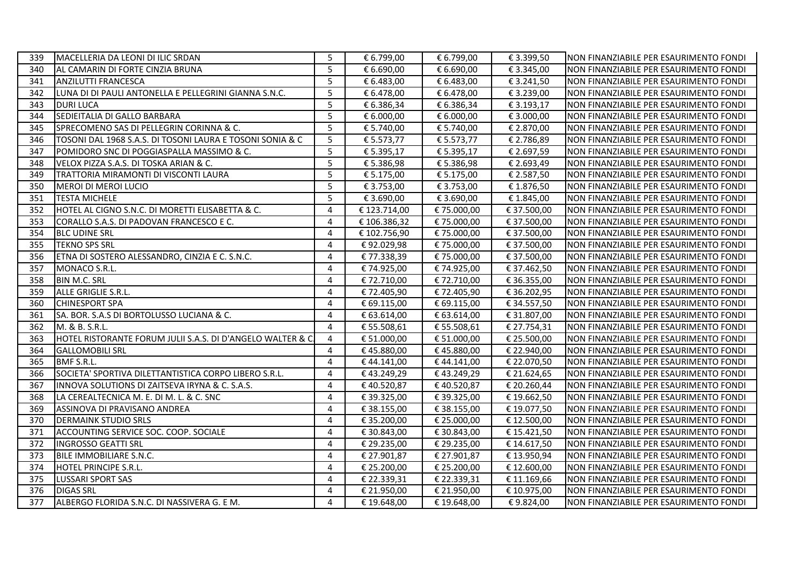| 339 | MACELLERIA DA LEONI DI ILIC SRDAN                           | 5              | € 6.799,00   | € 6.799,00  | € 3.399,50  | NON FINANZIABILE PER ESAURIMENTO FONDI |
|-----|-------------------------------------------------------------|----------------|--------------|-------------|-------------|----------------------------------------|
| 340 | IAL CAMARIN DI FORTE CINZIA BRUNA                           | 5              | € 6.690,00   | € 6.690,00  | € 3.345,00  | NON FINANZIABILE PER ESAURIMENTO FONDI |
| 341 | <b>ANZILUTTI FRANCESCA</b>                                  | 5              | € 6.483,00   | € 6.483,00  | € 3.241,50  | NON FINANZIABILE PER ESAURIMENTO FONDI |
| 342 | LUNA DI DI PAULI ANTONELLA E PELLEGRINI GIANNA S.N.C.       | 5              | € 6.478,00   | € 6.478,00  | € 3.239,00  | NON FINANZIABILE PER ESAURIMENTO FONDI |
| 343 | <b>DURI LUCA</b>                                            | 5              | € 6.386,34   | € 6.386,34  | € 3.193,17  | NON FINANZIABILE PER ESAURIMENTO FONDI |
| 344 | SEDIEITALIA DI GALLO BARBARA                                | 5              | € 6.000,00   | € 6.000,00  | € 3.000,00  | NON FINANZIABILE PER ESAURIMENTO FONDI |
| 345 | SPRECOMENO SAS DI PELLEGRIN CORINNA & C.                    | 5              | € 5.740,00   | € 5.740,00  | € 2.870,00  | NON FINANZIABILE PER ESAURIMENTO FONDI |
| 346 | TOSONI DAL 1968 S.A.S. DI TOSONI LAURA E TOSONI SONIA & C   | 5              | € 5.573,77   | € 5.573,77  | € 2.786,89  | NON FINANZIABILE PER ESAURIMENTO FONDI |
| 347 | POMIDORO SNC DI POGGIASPALLA MASSIMO & C.                   | 5              | € 5.395,17   | € 5.395,17  | € 2.697,59  | NON FINANZIABILE PER ESAURIMENTO FONDI |
| 348 | VELOX PIZZA S.A.S. DI TOSKA ARIAN & C.                      | 5              | € 5.386,98   | € 5.386,98  | € 2.693,49  | NON FINANZIABILE PER ESAURIMENTO FONDI |
| 349 | TRATTORIA MIRAMONTI DI VISCONTI LAURA                       | 5              | € 5.175,00   | € 5.175,00  | € 2.587,50  | NON FINANZIABILE PER ESAURIMENTO FONDI |
| 350 | MEROI DI MEROI LUCIO                                        | 5              | € 3.753,00   | € 3.753,00  | € 1.876,50  | NON FINANZIABILE PER ESAURIMENTO FONDI |
| 351 | <b>TESTA MICHELE</b>                                        | 5              | € 3.690,00   | € 3.690,00  | € 1.845,00  | NON FINANZIABILE PER ESAURIMENTO FONDI |
| 352 | HOTEL AL CIGNO S.N.C. DI MORETTI ELISABETTA & C.            | 4              | € 123.714,00 | €75.000,00  | € 37.500,00 | NON FINANZIABILE PER ESAURIMENTO FONDI |
| 353 | CORALLO S.A.S. DI PADOVAN FRANCESCO E C.                    | 4              | €106.386,32  | €75.000,00  | € 37.500,00 | NON FINANZIABILE PER ESAURIMENTO FONDI |
| 354 | <b>BLC UDINE SRL</b>                                        | 4              | € 102.756,90 | € 75.000,00 | € 37.500,00 | NON FINANZIABILE PER ESAURIMENTO FONDI |
| 355 | <b>TEKNO SPS SRL</b>                                        | 4              | €92.029,98   | € 75.000,00 | € 37.500,00 | NON FINANZIABILE PER ESAURIMENTO FONDI |
| 356 | ETNA DI SOSTERO ALESSANDRO, CINZIA E C. S.N.C.              | 4              | €77.338,39   | € 75.000,00 | € 37.500,00 | NON FINANZIABILE PER ESAURIMENTO FONDI |
| 357 | MONACO S.R.L.                                               | 4              | € 74.925,00  | €74.925,00  | € 37.462,50 | NON FINANZIABILE PER ESAURIMENTO FONDI |
| 358 | <b>BIN M.C. SRL</b>                                         | 4              | € 72.710,00  | €72.710,00  | € 36.355,00 | NON FINANZIABILE PER ESAURIMENTO FONDI |
| 359 | ALLE GRIGLIE S.R.L.                                         | 4              | € 72.405,90  | €72.405,90  | € 36.202,95 | NON FINANZIABILE PER ESAURIMENTO FONDI |
| 360 | <b>CHINESPORT SPA</b>                                       | 4              | € 69.115,00  | € 69.115,00 | € 34.557,50 | NON FINANZIABILE PER ESAURIMENTO FONDI |
| 361 | SA. BOR. S.A.S DI BORTOLUSSO LUCIANA & C.                   | 4              | € 63.614,00  | € 63.614,00 | € 31.807,00 | NON FINANZIABILE PER ESAURIMENTO FONDI |
| 362 | M. & B. S.R.L.                                              | 4              | € 55.508,61  | € 55.508,61 | € 27.754,31 | NON FINANZIABILE PER ESAURIMENTO FONDI |
| 363 | HOTEL RISTORANTE FORUM JULII S.A.S. DI D'ANGELO WALTER & C. | 4              | € 51.000,00  | € 51.000,00 | € 25.500,00 | NON FINANZIABILE PER ESAURIMENTO FONDI |
| 364 | <b>GALLOMOBILI SRL</b>                                      | 4              | €45.880,00   | €45.880,00  | € 22.940,00 | NON FINANZIABILE PER ESAURIMENTO FONDI |
| 365 | <b>BMF S.R.L.</b>                                           | 4              | €44.141,00   | €44.141,00  | € 22.070,50 | NON FINANZIABILE PER ESAURIMENTO FONDI |
| 366 | SOCIETA' SPORTIVA DILETTANTISTICA CORPO LIBERO S.R.L.       | 4              | €43.249,29   | € 43.249,29 | € 21.624,65 | NON FINANZIABILE PER ESAURIMENTO FONDI |
| 367 | INNOVA SOLUTIONS DI ZAITSEVA IRYNA & C. S.A.S.              | 4              | €40.520,87   | € 40.520,87 | € 20.260,44 | NON FINANZIABILE PER ESAURIMENTO FONDI |
| 368 | LA CEREALTECNICA M. E. DI M. L. & C. SNC                    | $\overline{4}$ | € 39.325,00  | € 39.325,00 | € 19.662,50 | NON FINANZIABILE PER ESAURIMENTO FONDI |
| 369 | ASSINOVA DI PRAVISANO ANDREA                                | 4              | € 38.155,00  | € 38.155,00 | € 19.077,50 | NON FINANZIABILE PER ESAURIMENTO FONDI |
| 370 | <b>DERMAINK STUDIO SRLS</b>                                 | 4              | € 35.200,00  | € 25.000,00 | € 12.500,00 | NON FINANZIABILE PER ESAURIMENTO FONDI |
| 371 | ACCOUNTING SERVICE SOC. COOP. SOCIALE                       | 4              | € 30.843,00  | € 30.843,00 | € 15.421,50 | NON FINANZIABILE PER ESAURIMENTO FONDI |
| 372 | <b>INGROSSO GEATTI SRL</b>                                  | 4              | € 29.235,00  | € 29.235,00 | € 14.617,50 | NON FINANZIABILE PER ESAURIMENTO FONDI |
| 373 | IBILE IMMOBILIARE S.N.C.                                    | 4              | € 27.901,87  | € 27.901,87 | € 13.950,94 | NON FINANZIABILE PER ESAURIMENTO FONDI |
| 374 | <b>HOTEL PRINCIPE S.R.L.</b>                                | 4              | € 25.200,00  | € 25.200,00 | € 12.600,00 | NON FINANZIABILE PER ESAURIMENTO FONDI |
| 375 | <b>LUSSARI SPORT SAS</b>                                    | 4              | € 22.339,31  | € 22.339,31 | € 11.169,66 | NON FINANZIABILE PER ESAURIMENTO FONDI |
| 376 | <b>DIGAS SRL</b>                                            | 4              | € 21.950,00  | € 21.950,00 | € 10.975,00 | NON FINANZIABILE PER ESAURIMENTO FONDI |
| 377 | ALBERGO FLORIDA S.N.C. DI NASSIVERA G. E M.                 | 4              | € 19.648,00  | € 19.648,00 | €9.824,00   | NON FINANZIABILE PER ESAURIMENTO FONDI |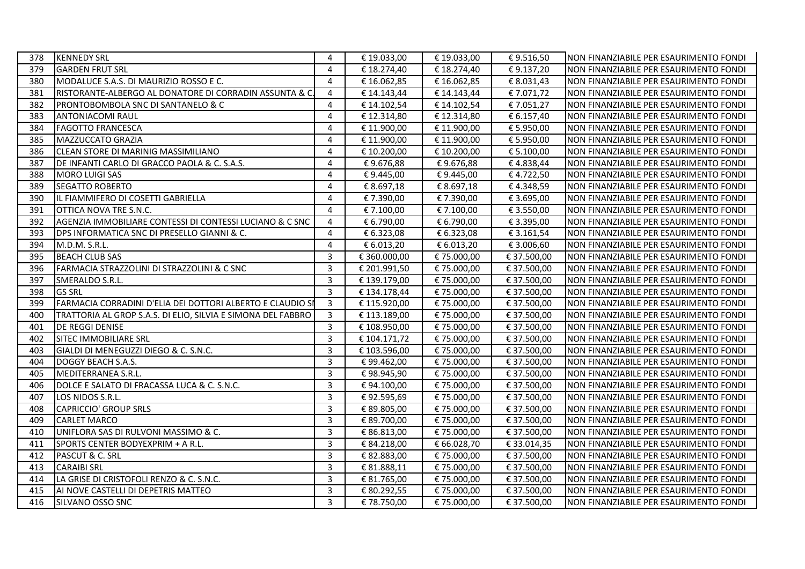| 378 | <b>KENNEDY SRL</b>                                           | 4              | € 19.033,00  | € 19.033,00 | €9.516,50   | NON FINANZIABILE PER ESAURIMENTO FONDI |
|-----|--------------------------------------------------------------|----------------|--------------|-------------|-------------|----------------------------------------|
| 379 | <b>GARDEN FRUT SRL</b>                                       | 4              | € 18.274,40  | € 18.274,40 | €9.137,20   | NON FINANZIABILE PER ESAURIMENTO FONDI |
| 380 | MODALUCE S.A.S. DI MAURIZIO ROSSO E C.                       | $\overline{4}$ | € 16.062,85  | €16.062,85  | € 8.031,43  | NON FINANZIABILE PER ESAURIMENTO FONDI |
| 381 | RISTORANTE-ALBERGO AL DONATORE DI CORRADIN ASSUNTA & C       | 4              | € 14.143,44  | € 14.143,44 | €7.071,72   | NON FINANZIABILE PER ESAURIMENTO FONDI |
| 382 | PRONTOBOMBOLA SNC DI SANTANELO & C                           | $\overline{4}$ | € 14.102,54  | € 14.102,54 | €7.051,27   | NON FINANZIABILE PER ESAURIMENTO FONDI |
| 383 | <b>ANTONIACOMI RAUL</b>                                      | 4              | € 12.314,80  | € 12.314,80 | € 6.157,40  | NON FINANZIABILE PER ESAURIMENTO FONDI |
| 384 | <b>FAGOTTO FRANCESCA</b>                                     | $\overline{4}$ | € 11.900,00  | € 11.900,00 | € 5.950,00  | NON FINANZIABILE PER ESAURIMENTO FONDI |
| 385 | MAZZUCCATO GRAZIA                                            | 4              | € 11.900,00  | € 11.900,00 | € 5.950,00  | NON FINANZIABILE PER ESAURIMENTO FONDI |
| 386 | <b>CLEAN STORE DI MARINIG MASSIMILIANO</b>                   | 4              | € 10.200,00  | € 10.200,00 | € 5.100,00  | NON FINANZIABILE PER ESAURIMENTO FONDI |
| 387 | DE INFANTI CARLO DI GRACCO PAOLA & C. S.A.S.                 | 4              | €9.676,88    | €9.676,88   | €4.838,44   | NON FINANZIABILE PER ESAURIMENTO FONDI |
| 388 | MORO LUIGI SAS                                               | 4              | €9.445,00    | €9.445,00   | €4.722,50   | NON FINANZIABILE PER ESAURIMENTO FONDI |
| 389 | <b>SEGATTO ROBERTO</b>                                       | 4              | € 8.697,18   | € 8.697,18  | €4.348,59   | NON FINANZIABILE PER ESAURIMENTO FONDI |
| 390 | IL FIAMMIFERO DI COSETTI GABRIELLA                           | 4              | € 7.390,00   | € 7.390,00  | € 3.695,00  | NON FINANZIABILE PER ESAURIMENTO FONDI |
| 391 | OTTICA NOVA TRE S.N.C.                                       | 4              | € 7.100,00   | € 7.100,00  | € 3.550,00  | NON FINANZIABILE PER ESAURIMENTO FONDI |
| 392 | AGENZIA IMMOBILIARE CONTESSI DI CONTESSI LUCIANO & C SNC     | 4              | € 6.790,00   | € 6.790,00  | € 3.395,00  | NON FINANZIABILE PER ESAURIMENTO FONDI |
| 393 | DPS INFORMATICA SNC DI PRESELLO GIANNI & C.                  | $\overline{4}$ | € 6.323,08   | € 6.323,08  | € 3.161,54  | NON FINANZIABILE PER ESAURIMENTO FONDI |
| 394 | M.D.M. S.R.L.                                                | $\overline{4}$ | € 6.013,20   | € 6.013,20  | € 3.006,60  | NON FINANZIABILE PER ESAURIMENTO FONDI |
| 395 | <b>BEACH CLUB SAS</b>                                        | 3              | € 360.000,00 | €75.000,00  | € 37.500,00 | NON FINANZIABILE PER ESAURIMENTO FONDI |
| 396 | FARMACIA STRAZZOLINI DI STRAZZOLINI & C SNC                  | 3              | € 201.991,50 | €75.000,00  | € 37.500,00 | NON FINANZIABILE PER ESAURIMENTO FONDI |
| 397 | SMERALDO S.R.L.                                              | 3              | € 139.179,00 | €75.000,00  | € 37.500,00 | NON FINANZIABILE PER ESAURIMENTO FONDI |
| 398 | <b>GS SRL</b>                                                | 3              | € 134.178,44 | €75.000,00  | € 37.500,00 | NON FINANZIABILE PER ESAURIMENTO FONDI |
| 399 | FARMACIA CORRADINI D'ELIA DEI DOTTORI ALBERTO E CLAUDIO SI   | 3              | € 115.920,00 | €75.000,00  | € 37.500,00 | NON FINANZIABILE PER ESAURIMENTO FONDI |
| 400 | TRATTORIA AL GROP S.A.S. DI ELIO, SILVIA E SIMONA DEL FABBRO | $\overline{3}$ | € 113.189,00 | € 75.000,00 | € 37.500,00 | NON FINANZIABILE PER ESAURIMENTO FONDI |
| 401 | <b>DE REGGI DENISE</b>                                       | $\mathbf{3}$   | € 108.950,00 | €75.000,00  | € 37.500,00 | NON FINANZIABILE PER ESAURIMENTO FONDI |
| 402 | SITEC IMMOBILIARE SRL                                        | 3              | € 104.171,72 | €75.000,00  | € 37.500,00 | NON FINANZIABILE PER ESAURIMENTO FONDI |
| 403 | GIALDI DI MENEGUZZI DIEGO & C. S.N.C.                        | $\overline{3}$ | € 103.596,00 | €75.000,00  | € 37.500,00 | NON FINANZIABILE PER ESAURIMENTO FONDI |
| 404 | DOGGY BEACH S.A.S.                                           | $\overline{3}$ | €99.462,00   | €75.000,00  | € 37.500,00 | NON FINANZIABILE PER ESAURIMENTO FONDI |
| 405 | MEDITERRANEA S.R.L.                                          | 3              | €98.945,90   | €75.000,00  | € 37.500,00 | NON FINANZIABILE PER ESAURIMENTO FONDI |
| 406 | DOLCE E SALATO DI FRACASSA LUCA & C. S.N.C.                  | 3              | €94.100,00   | € 75.000,00 | € 37.500,00 | NON FINANZIABILE PER ESAURIMENTO FONDI |
| 407 | LOS NIDOS S.R.L.                                             | 3              | €92.595,69   | €75.000,00  | € 37.500,00 | NON FINANZIABILE PER ESAURIMENTO FONDI |
| 408 | <b>CAPRICCIO' GROUP SRLS</b>                                 | $\overline{3}$ | € 89.805,00  | € 75.000,00 | € 37.500,00 | NON FINANZIABILE PER ESAURIMENTO FONDI |
| 409 | <b>CARLET MARCO</b>                                          | $\mathbf{3}$   | € 89.700,00  | € 75.000,00 | € 37.500,00 | NON FINANZIABILE PER ESAURIMENTO FONDI |
| 410 | UNIFLORA SAS DI RULVONI MASSIMO & C.                         | 3              | € 86.813,00  | € 75.000,00 | € 37.500,00 | NON FINANZIABILE PER ESAURIMENTO FONDI |
| 411 | SPORTS CENTER BODYEXPRIM + A R.L.                            | 3              | € 84.218,00  | € 66.028,70 | € 33.014,35 | NON FINANZIABILE PER ESAURIMENTO FONDI |
| 412 | PASCUT & C. SRL                                              | $\overline{3}$ | € 82.883,00  | €75.000,00  | € 37.500,00 | NON FINANZIABILE PER ESAURIMENTO FONDI |
| 413 | <b>CARAIBI SRL</b>                                           | 3              | € 81.888,11  | €75.000,00  | € 37.500,00 | NON FINANZIABILE PER ESAURIMENTO FONDI |
| 414 | LA GRISE DI CRISTOFOLI RENZO & C. S.N.C.                     | 3              | € 81.765,00  | €75.000,00  | € 37.500,00 | NON FINANZIABILE PER ESAURIMENTO FONDI |
| 415 | AI NOVE CASTELLI DI DEPETRIS MATTEO                          | 3              | € 80.292,55  | € 75.000,00 | € 37.500,00 | NON FINANZIABILE PER ESAURIMENTO FONDI |
| 416 | SILVANO OSSO SNC                                             | $\overline{3}$ | €78.750,00   | €75.000,00  | € 37.500,00 | NON FINANZIABILE PER ESAURIMENTO FONDI |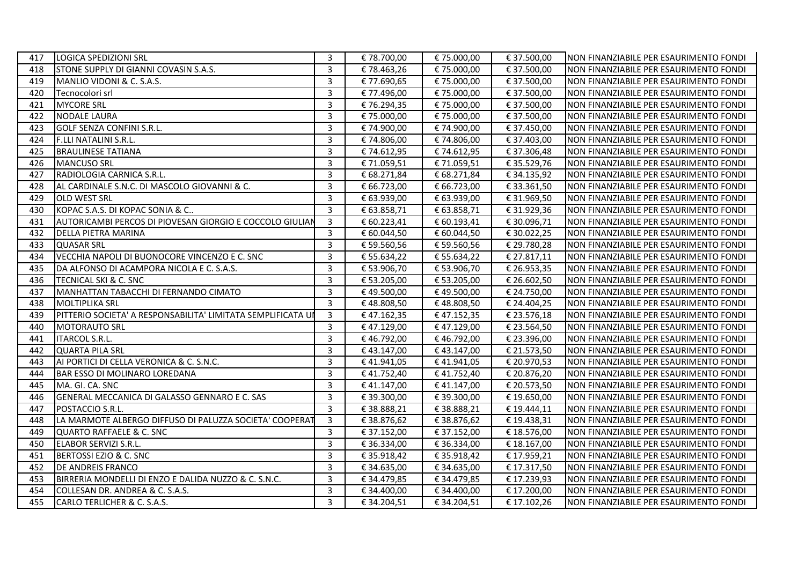| 417 | LOGICA SPEDIZIONI SRL                                        | 3              | € 78.700,00 | € 75.000,00 | € 37.500,00 | NON FINANZIABILE PER ESAURIMENTO FONDI |
|-----|--------------------------------------------------------------|----------------|-------------|-------------|-------------|----------------------------------------|
| 418 | STONE SUPPLY DI GIANNI COVASIN S.A.S.                        | 3              | €78.463,26  | €75.000,00  | € 37.500,00 | NON FINANZIABILE PER ESAURIMENTO FONDI |
| 419 | MANLIO VIDONI & C. S.A.S.                                    | 3              | € 77.690,65 | € 75.000,00 | € 37.500,00 | NON FINANZIABILE PER ESAURIMENTO FONDI |
| 420 | Tecnocolori srl                                              | 3              | € 77.496,00 | € 75.000,00 | € 37.500,00 | NON FINANZIABILE PER ESAURIMENTO FONDI |
| 421 | <b>MYCORE SRL</b>                                            | 3              | €76.294,35  | €75.000,00  | € 37.500,00 | NON FINANZIABILE PER ESAURIMENTO FONDI |
| 422 | <b>NODALE LAURA</b>                                          | 3              | € 75.000,00 | € 75.000,00 | € 37.500,00 | NON FINANZIABILE PER ESAURIMENTO FONDI |
| 423 | <b>GOLF SENZA CONFINI S.R.L.</b>                             | 3              | € 74.900,00 | €74.900,00  | € 37.450,00 | NON FINANZIABILE PER ESAURIMENTO FONDI |
| 424 | <b>F.LLI NATALINI S.R.L.</b>                                 | 3              | € 74.806,00 | €74.806,00  | € 37.403,00 | NON FINANZIABILE PER ESAURIMENTO FONDI |
| 425 | <b>BRAULINESE TATIANA</b>                                    | 3              | €74.612,95  | €74.612,95  | € 37.306,48 | NON FINANZIABILE PER ESAURIMENTO FONDI |
| 426 | <b>MANCUSO SRL</b>                                           | 3              | € 71.059,51 | €71.059,51  | € 35.529,76 | NON FINANZIABILE PER ESAURIMENTO FONDI |
| 427 | RADIOLOGIA CARNICA S.R.L.                                    | 3              | € 68.271,84 | € 68.271,84 | € 34.135,92 | NON FINANZIABILE PER ESAURIMENTO FONDI |
| 428 | AL CARDINALE S.N.C. DI MASCOLO GIOVANNI & C.                 | 3              | € 66.723,00 | € 66.723,00 | € 33.361,50 | NON FINANZIABILE PER ESAURIMENTO FONDI |
| 429 | <b>OLD WEST SRL</b>                                          | 3              | € 63.939,00 | € 63.939,00 | € 31.969,50 | NON FINANZIABILE PER ESAURIMENTO FONDI |
| 430 | KOPAC S.A.S. DI KOPAC SONIA & C                              | 3              | € 63.858,71 | € 63.858,71 | € 31.929,36 | NON FINANZIABILE PER ESAURIMENTO FONDI |
| 431 | AUTORICAMBI PERCOS DI PIOVESAN GIORGIO E COCCOLO GIULIAN     | 3              | € 60.223,41 | € 60.193,41 | € 30.096,71 | NON FINANZIABILE PER ESAURIMENTO FONDI |
| 432 | DELLA PIETRA MARINA                                          | $\overline{3}$ | € 60.044,50 | € 60.044,50 | € 30.022,25 | NON FINANZIABILE PER ESAURIMENTO FONDI |
| 433 | <b>QUASAR SRL</b>                                            | $\overline{3}$ | € 59.560,56 | € 59.560,56 | € 29.780,28 | NON FINANZIABILE PER ESAURIMENTO FONDI |
| 434 | VECCHIA NAPOLI DI BUONOCORE VINCENZO E C. SNC                | 3              | € 55.634,22 | € 55.634,22 | € 27.817,11 | NON FINANZIABILE PER ESAURIMENTO FONDI |
| 435 | DA ALFONSO DI ACAMPORA NICOLA E C. S.A.S.                    | 3              | € 53.906,70 | € 53.906,70 | € 26.953,35 | NON FINANZIABILE PER ESAURIMENTO FONDI |
| 436 | TECNICAL SKI & C. SNC                                        | 3              | € 53.205,00 | € 53.205,00 | € 26.602,50 | NON FINANZIABILE PER ESAURIMENTO FONDI |
| 437 | MANHATTAN TABACCHI DI FERNANDO CIMATO                        | 3              | €49.500,00  | €49.500,00  | € 24.750,00 | NON FINANZIABILE PER ESAURIMENTO FONDI |
| 438 | <b>MOLTIPLIKA SRL</b>                                        | 3              | €48.808,50  | €48.808,50  | € 24.404,25 | NON FINANZIABILE PER ESAURIMENTO FONDI |
| 439 | PITTERIO SOCIETA' A RESPONSABILITA' LIMITATA SEMPLIFICATA UI | 3              | €47.162,35  | €47.152,35  | € 23.576,18 | NON FINANZIABILE PER ESAURIMENTO FONDI |
| 440 | <b>MOTORAUTO SRL</b>                                         | $\overline{3}$ | €47.129,00  | €47.129,00  | € 23.564,50 | NON FINANZIABILE PER ESAURIMENTO FONDI |
| 441 | <b>ITARCOL S.R.L.</b>                                        | 3              | €46.792,00  | €46.792,00  | € 23.396,00 | NON FINANZIABILE PER ESAURIMENTO FONDI |
| 442 | <b>QUARTA PILA SRL</b>                                       | 3              | €43.147,00  | €43.147,00  | € 21.573,50 | NON FINANZIABILE PER ESAURIMENTO FONDI |
| 443 | AI PORTICI DI CELLA VERONICA & C. S.N.C.                     | 3              | €41.941,05  | €41.941,05  | € 20.970,53 | NON FINANZIABILE PER ESAURIMENTO FONDI |
| 444 | <b>BAR ESSO DI MOLINARO LOREDANA</b>                         | 3              | €41.752,40  | €41.752,40  | € 20.876,20 | NON FINANZIABILE PER ESAURIMENTO FONDI |
| 445 | MA. GI. CA. SNC                                              | $\overline{3}$ | €41.147,00  | €41.147,00  | € 20.573,50 | NON FINANZIABILE PER ESAURIMENTO FONDI |
| 446 | GENERAL MECCANICA DI GALASSO GENNARO E C. SAS                | 3              | € 39.300,00 | € 39.300,00 | € 19.650,00 | NON FINANZIABILE PER ESAURIMENTO FONDI |
| 447 | POSTACCIO S.R.L.                                             | $\overline{3}$ | € 38.888,21 | €38.888,21  | € 19.444,11 | NON FINANZIABILE PER ESAURIMENTO FONDI |
| 448 | LA MARMOTE ALBERGO DIFFUSO DI PALUZZA SOCIETA' COOPERAT      | 3              | € 38.876,62 | € 38.876,62 | € 19.438,31 | NON FINANZIABILE PER ESAURIMENTO FONDI |
| 449 | <b>QUARTO RAFFAELE &amp; C. SNC</b>                          | 3              | € 37.152,00 | € 37.152,00 | € 18.576,00 | NON FINANZIABILE PER ESAURIMENTO FONDI |
| 450 | ELABOR SERVIZI S.R.L.                                        | 3              | € 36.334,00 | € 36.334,00 | € 18.167,00 | NON FINANZIABILE PER ESAURIMENTO FONDI |
| 451 | BERTOSSI EZIO & C. SNC                                       | 3              | € 35.918,42 | € 35.918,42 | € 17.959,21 | NON FINANZIABILE PER ESAURIMENTO FONDI |
| 452 | DE ANDREIS FRANCO                                            | 3              | € 34.635,00 | € 34.635,00 | € 17.317,50 | NON FINANZIABILE PER ESAURIMENTO FONDI |
| 453 | BIRRERIA MONDELLI DI ENZO E DALIDA NUZZO & C. S.N.C.         | 3              | € 34.479,85 | € 34.479,85 | € 17.239,93 | NON FINANZIABILE PER ESAURIMENTO FONDI |
| 454 | COLLESAN DR. ANDREA & C. S.A.S.                              | 3              | € 34.400,00 | € 34.400,00 | € 17.200,00 | NON FINANZIABILE PER ESAURIMENTO FONDI |
| 455 | CARLO TERLICHER & C. S.A.S.                                  | 3              | € 34.204,51 | € 34.204,51 | € 17.102,26 | NON FINANZIABILE PER ESAURIMENTO FONDI |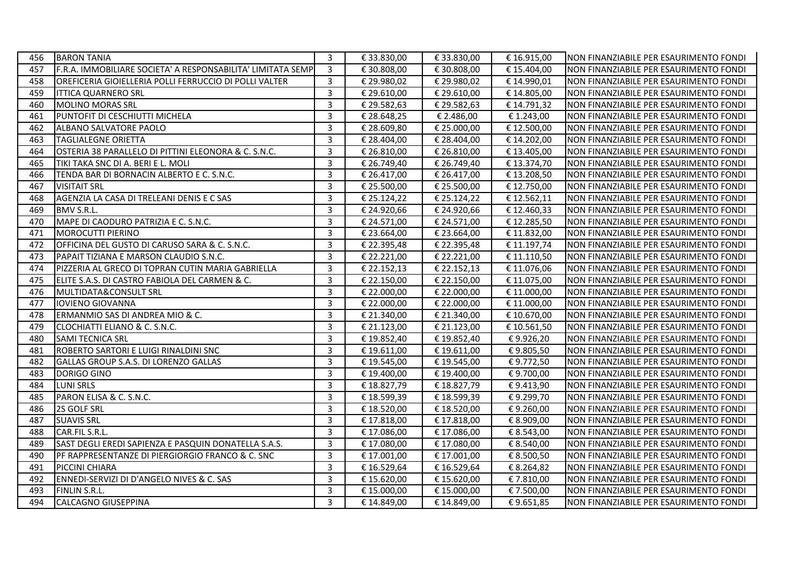| 456 | <b>BARON TANIA</b>                                          | 3                       | € 33.830,00 | € 33.830,00 | € 16.915,00 | NON FINANZIABILE PER ESAURIMENTO FONDI |
|-----|-------------------------------------------------------------|-------------------------|-------------|-------------|-------------|----------------------------------------|
| 457 | F.R.A. IMMOBILIARE SOCIETA' A RESPONSABILITA' LIMITATA SEMP | 3                       | € 30.808,00 | € 30.808,00 | € 15.404,00 | NON FINANZIABILE PER ESAURIMENTO FONDI |
| 458 | OREFICERIA GIOIELLERIA POLLI FERRUCCIO DI POLLI VALTER      | 3                       | € 29.980,02 | € 29.980,02 | € 14.990,01 | NON FINANZIABILE PER ESAURIMENTO FONDI |
| 459 | <b>ITTICA QUARNERO SRL</b>                                  | 3                       | € 29.610,00 | € 29.610,00 | € 14.805,00 | NON FINANZIABILE PER ESAURIMENTO FONDI |
| 460 | <b>MOLINO MORAS SRL</b>                                     | $\overline{3}$          | € 29.582,63 | € 29.582,63 | € 14.791,32 | NON FINANZIABILE PER ESAURIMENTO FONDI |
| 461 | PUNTOFIT DI CESCHIUTTI MICHELA                              | 3                       | € 28.648,25 | € 2.486,00  | € 1.243,00  | NON FINANZIABILE PER ESAURIMENTO FONDI |
| 462 | ALBANO SALVATORE PAOLO                                      | 3                       | € 28.609,80 | € 25.000,00 | € 12.500,00 | NON FINANZIABILE PER ESAURIMENTO FONDI |
| 463 | <b>TAGLIALEGNE ORIETTA</b>                                  | 3                       | € 28.404,00 | € 28.404,00 | € 14.202,00 | NON FINANZIABILE PER ESAURIMENTO FONDI |
| 464 | OSTERIA 38 PARALLELO DI PITTINI ELEONORA & C. S.N.C.        | 3                       | € 26.810,00 | € 26.810,00 | € 13.405,00 | NON FINANZIABILE PER ESAURIMENTO FONDI |
| 465 | TIKI TAKA SNC DI A. BERI E L. MOLI                          | 3                       | € 26.749,40 | € 26.749,40 | € 13.374,70 | NON FINANZIABILE PER ESAURIMENTO FONDI |
| 466 | TENDA BAR DI BORNACIN ALBERTO E C. S.N.C.                   | $\overline{\mathbf{3}}$ | € 26.417,00 | € 26.417,00 | € 13.208,50 | NON FINANZIABILE PER ESAURIMENTO FONDI |
| 467 | <b>VISITAIT SRL</b>                                         | 3                       | € 25.500,00 | € 25.500,00 | € 12.750,00 | NON FINANZIABILE PER ESAURIMENTO FONDI |
| 468 | AGENZIA LA CASA DI TRELEANI DENIS E C SAS                   | 3                       | € 25.124,22 | € 25.124,22 | € 12.562,11 | NON FINANZIABILE PER ESAURIMENTO FONDI |
| 469 | BMV S.R.L.                                                  | 3                       | € 24.920,66 | € 24.920,66 | €12.460,33  | NON FINANZIABILE PER ESAURIMENTO FONDI |
| 470 | MAPE DI CAODURO PATRIZIA E C. S.N.C.                        | 3                       | € 24.571,00 | € 24.571,00 | € 12.285,50 | NON FINANZIABILE PER ESAURIMENTO FONDI |
| 471 | <b>MOROCUTTI PIERINO</b>                                    | 3                       | € 23.664,00 | € 23.664,00 | € 11.832,00 | NON FINANZIABILE PER ESAURIMENTO FONDI |
| 472 | OFFICINA DEL GUSTO DI CARUSO SARA & C. S.N.C.               | $\overline{3}$          | € 22.395,48 | € 22.395,48 | € 11.197,74 | NON FINANZIABILE PER ESAURIMENTO FONDI |
| 473 | PAPAIT TIZIANA E MARSON CLAUDIO S.N.C.                      | $\overline{3}$          | € 22.221,00 | € 22.221,00 | € 11.110,50 | NON FINANZIABILE PER ESAURIMENTO FONDI |
| 474 | PIZZERIA AL GRECO DI TOPRAN CUTIN MARIA GABRIELLA           | 3                       | € 22.152,13 | € 22.152,13 | € 11.076,06 | NON FINANZIABILE PER ESAURIMENTO FONDI |
| 475 | ELITE S.A.S. DI CASTRO FABIOLA DEL CARMEN & C.              | 3                       | € 22.150,00 | € 22.150,00 | € 11.075,00 | NON FINANZIABILE PER ESAURIMENTO FONDI |
| 476 | MULTIDATA&CONSULT SRL                                       | 3                       | € 22.000,00 | € 22.000,00 | € 11.000,00 | NON FINANZIABILE PER ESAURIMENTO FONDI |
| 477 | <b>IOVIENO GIOVANNA</b>                                     | 3                       | € 22.000,00 | € 22.000,00 | € 11.000,00 | NON FINANZIABILE PER ESAURIMENTO FONDI |
| 478 | ERMANMIO SAS DI ANDREA MIO & C.                             | $\overline{3}$          | € 21.340,00 | € 21.340,00 | € 10.670,00 | NON FINANZIABILE PER ESAURIMENTO FONDI |
| 479 | CLOCHIATTI ELIANO & C. S.N.C.                               | 3                       | € 21.123,00 | € 21.123,00 | € 10.561,50 | NON FINANZIABILE PER ESAURIMENTO FONDI |
| 480 | <b>SAMI TECNICA SRL</b>                                     | 3                       | € 19.852,40 | € 19.852,40 | €9.926,20   | NON FINANZIABILE PER ESAURIMENTO FONDI |
| 481 | ROBERTO SARTORI E LUIGI RINALDINI SNC                       | 3                       | € 19.611,00 | € 19.611,00 | €9.805,50   | NON FINANZIABILE PER ESAURIMENTO FONDI |
| 482 | GALLAS GROUP S.A.S. DI LORENZO GALLAS                       | 3                       | € 19.545,00 | € 19.545,00 | €9.772,50   | NON FINANZIABILE PER ESAURIMENTO FONDI |
| 483 | DORIGO GINO                                                 | 3                       | € 19.400,00 | € 19.400,00 | €9.700,00   | NON FINANZIABILE PER ESAURIMENTO FONDI |
| 484 | <b>LUNI SRLS</b>                                            | 3                       | € 18.827,79 | € 18.827,79 | €9.413,90   | NON FINANZIABILE PER ESAURIMENTO FONDI |
| 485 | PARON ELISA & C. S.N.C.                                     | 3                       | € 18.599,39 | € 18.599,39 | €9.299,70   | NON FINANZIABILE PER ESAURIMENTO FONDI |
| 486 | 2S GOLF SRL                                                 | 3                       | € 18.520,00 | € 18.520,00 | €9.260,00   | NON FINANZIABILE PER ESAURIMENTO FONDI |
| 487 | <b>SUAVIS SRL</b>                                           | 3                       | € 17.818,00 | € 17.818,00 | € 8.909,00  | NON FINANZIABILE PER ESAURIMENTO FONDI |
| 488 | CAR.FIL S.R.L.                                              | 3                       | € 17.086,00 | € 17.086,00 | € 8.543,00  | NON FINANZIABILE PER ESAURIMENTO FONDI |
| 489 | SAST DEGLI EREDI SAPIENZA E PASQUIN DONATELLA S.A.S.        | 3                       | € 17.080,00 | € 17.080,00 | € 8.540,00  | NON FINANZIABILE PER ESAURIMENTO FONDI |
| 490 | PF RAPPRESENTANZE DI PIERGIORGIO FRANCO & C. SNC            | 3                       | € 17.001,00 | € 17.001,00 | € 8.500,50  | NON FINANZIABILE PER ESAURIMENTO FONDI |
| 491 | PICCINI CHIARA                                              | 3                       | € 16.529,64 | € 16.529,64 | € 8.264,82  | NON FINANZIABILE PER ESAURIMENTO FONDI |
| 492 | ENNEDI-SERVIZI DI D'ANGELO NIVES & C. SAS                   | 3                       | € 15.620,00 | € 15.620,00 | €7.810,00   | NON FINANZIABILE PER ESAURIMENTO FONDI |
| 493 | FINLIN S.R.L.                                               | 3                       | € 15.000,00 | € 15.000,00 | € 7.500,00  | NON FINANZIABILE PER ESAURIMENTO FONDI |
| 494 | CALCAGNO GIUSEPPINA                                         | 3                       | € 14.849,00 | € 14.849,00 | €9.651,85   | NON FINANZIABILE PER ESAURIMENTO FONDI |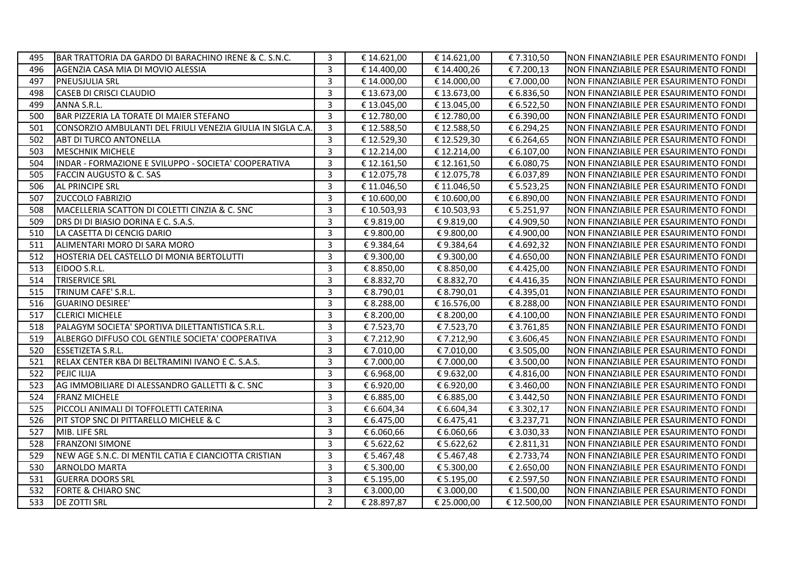| 495 | BAR TRATTORIA DA GARDO DI BARACHINO IRENE & C. S.N.C.      | 3              | € 14.621,00 | € 14.621,00 | € 7.310,50  | NON FINANZIABILE PER ESAURIMENTO FONDI |
|-----|------------------------------------------------------------|----------------|-------------|-------------|-------------|----------------------------------------|
| 496 | AGENZIA CASA MIA DI MOVIO ALESSIA                          | 3              | € 14.400,00 | €14.400,26  | €7.200,13   | NON FINANZIABILE PER ESAURIMENTO FONDI |
| 497 | <b>PNEUSJULIA SRL</b>                                      | $\overline{3}$ | € 14.000,00 | € 14.000,00 | € 7.000,00  | NON FINANZIABILE PER ESAURIMENTO FONDI |
| 498 | <b>CASEB DI CRISCI CLAUDIO</b>                             | 3              | € 13.673,00 | € 13.673,00 | € 6.836,50  | NON FINANZIABILE PER ESAURIMENTO FONDI |
| 499 | ANNA S.R.L.                                                | 3              | € 13.045,00 | € 13.045,00 | € 6.522,50  | NON FINANZIABILE PER ESAURIMENTO FONDI |
| 500 | BAR PIZZERIA LA TORATE DI MAIER STEFANO                    | 3              | € 12.780,00 | € 12.780,00 | € 6.390,00  | NON FINANZIABILE PER ESAURIMENTO FONDI |
| 501 | CONSORZIO AMBULANTI DEL FRIULI VENEZIA GIULIA IN SIGLA C.A | $\overline{3}$ | € 12.588,50 | €12.588,50  | € 6.294,25  | NON FINANZIABILE PER ESAURIMENTO FONDI |
| 502 | ABT DI TURCO ANTONELLA                                     | $\mathbf{3}$   | € 12.529,30 | € 12.529,30 | € 6.264,65  | NON FINANZIABILE PER ESAURIMENTO FONDI |
| 503 | <b>MESCHNIK MICHELE</b>                                    | $\overline{3}$ | € 12.214,00 | € 12.214,00 | € 6.107,00  | NON FINANZIABILE PER ESAURIMENTO FONDI |
| 504 | INDAR - FORMAZIONE E SVILUPPO - SOCIETA' COOPERATIVA       | 3              | € 12.161,50 | € 12.161,50 | € 6.080,75  | NON FINANZIABILE PER ESAURIMENTO FONDI |
| 505 | <b>FACCIN AUGUSTO &amp; C. SAS</b>                         | $\overline{3}$ | € 12.075,78 | €12.075,78  | € 6.037,89  | NON FINANZIABILE PER ESAURIMENTO FONDI |
| 506 | <b>AL PRINCIPE SRL</b>                                     | $\overline{3}$ | € 11.046,50 | € 11.046,50 | € 5.523,25  | NON FINANZIABILE PER ESAURIMENTO FONDI |
| 507 | <b>ZUCCOLO FABRIZIO</b>                                    | 3              | € 10.600,00 | € 10.600,00 | € 6.890,00  | NON FINANZIABILE PER ESAURIMENTO FONDI |
| 508 | MACELLERIA SCATTON DI COLETTI CINZIA & C. SNC              | 3              | € 10.503,93 | € 10.503,93 | € 5.251,97  | NON FINANZIABILE PER ESAURIMENTO FONDI |
| 509 | DRS DI DI BIASIO DORINA E C. S.A.S.                        | $\overline{3}$ | €9.819,00   | €9.819,00   | €4.909,50   | NON FINANZIABILE PER ESAURIMENTO FONDI |
| 510 | LA CASETTA DI CENCIG DARIO                                 | 3              | €9.800,00   | €9.800,00   | €4.900,00   | NON FINANZIABILE PER ESAURIMENTO FONDI |
| 511 | ALIMENTARI MORO DI SARA MORO                               | 3              | €9.384,64   | €9.384,64   | €4.692,32   | NON FINANZIABILE PER ESAURIMENTO FONDI |
| 512 | HOSTERIA DEL CASTELLO DI MONIA BERTOLUTTI                  | 3              | €9.300,00   | €9.300,00   | €4.650,00   | NON FINANZIABILE PER ESAURIMENTO FONDI |
| 513 | EIDOO S.R.L.                                               | $\overline{3}$ | € 8.850,00  | € 8.850,00  | €4.425,00   | NON FINANZIABILE PER ESAURIMENTO FONDI |
| 514 | <b>TRISERVICE SRL</b>                                      | 3              | € 8.832,70  | € 8.832,70  | €4.416,35   | NON FINANZIABILE PER ESAURIMENTO FONDI |
| 515 | TRINUM CAFE' S.R.L.                                        | 3              | € 8.790,01  | € 8.790,01  | € 4.395,01  | NON FINANZIABILE PER ESAURIMENTO FONDI |
| 516 | <b>GUARINO DESIREE'</b>                                    | 3              | € 8.288,00  | € 16.576,00 | € 8.288,00  | NON FINANZIABILE PER ESAURIMENTO FONDI |
| 517 | <b>CLERICI MICHELE</b>                                     | $\overline{3}$ | € 8.200,00  | € 8.200,00  | €4.100,00   | NON FINANZIABILE PER ESAURIMENTO FONDI |
| 518 | PALAGYM SOCIETA' SPORTIVA DILETTANTISTICA S.R.L.           | 3              | € 7.523,70  | € 7.523,70  | € 3.761,85  | NON FINANZIABILE PER ESAURIMENTO FONDI |
| 519 | ALBERGO DIFFUSO COL GENTILE SOCIETA' COOPERATIVA           | 3              | €7.212,90   | €7.212,90   | € 3.606,45  | NON FINANZIABILE PER ESAURIMENTO FONDI |
| 520 | <b>ESSETIZETA S.R.L.</b>                                   | $\overline{3}$ | € 7.010,00  | € 7.010,00  | € 3.505,00  | NON FINANZIABILE PER ESAURIMENTO FONDI |
| 521 | RELAX CENTER KBA DI BELTRAMINI IVANO E C. S.A.S.           | $\overline{3}$ | € 7.000,00  | €7.000,00   | € 3.500,00  | NON FINANZIABILE PER ESAURIMENTO FONDI |
| 522 | PEJIC ILIJA                                                | 3              | € 6.968,00  | €9.632,00   | €4.816,00   | NON FINANZIABILE PER ESAURIMENTO FONDI |
| 523 | AG IMMOBILIARE DI ALESSANDRO GALLETTI & C. SNC             | 3              | € 6.920,00  | € 6.920,00  | € 3.460,00  | NON FINANZIABILE PER ESAURIMENTO FONDI |
| 524 | <b>FRANZ MICHELE</b>                                       | 3              | € 6.885,00  | € 6.885,00  | € 3.442,50  | NON FINANZIABILE PER ESAURIMENTO FONDI |
| 525 | PICCOLI ANIMALI DI TOFFOLETTI CATERINA                     | $\overline{3}$ | € 6.604,34  | € 6.604,34  | € 3.302,17  | NON FINANZIABILE PER ESAURIMENTO FONDI |
| 526 | PIT STOP SNC DI PITTARELLO MICHELE & C                     | 3              | € 6.475,00  | € 6.475,41  | € 3.237,71  | NON FINANZIABILE PER ESAURIMENTO FONDI |
| 527 | MIB. LIFE SRL                                              | 3              | € 6.060,66  | € 6.060,66  | € 3.030,33  | NON FINANZIABILE PER ESAURIMENTO FONDI |
| 528 | <b>FRANZONI SIMONE</b>                                     | $\overline{3}$ | € 5.622,62  | € 5.622,62  | € 2.811,31  | NON FINANZIABILE PER ESAURIMENTO FONDI |
| 529 | NEW AGE S.N.C. DI MENTIL CATIA E CIANCIOTTA CRISTIAN       | 3              | € 5.467,48  | € 5.467,48  | € 2.733,74  | NON FINANZIABILE PER ESAURIMENTO FONDI |
| 530 | <b>ARNOLDO MARTA</b>                                       | 3              | € 5.300,00  | € 5.300,00  | € 2.650,00  | NON FINANZIABILE PER ESAURIMENTO FONDI |
| 531 | <b>GUERRA DOORS SRL</b>                                    | 3              | € 5.195,00  | € 5.195,00  | € 2.597,50  | NON FINANZIABILE PER ESAURIMENTO FONDI |
| 532 | <b>FORTE &amp; CHIARO SNC</b>                              | 3              | € 3.000,00  | € 3.000,00  | € 1.500,00  | NON FINANZIABILE PER ESAURIMENTO FONDI |
| 533 | <b>DE ZOTTI SRL</b>                                        | $\overline{2}$ | € 28.897,87 | € 25.000,00 | € 12.500,00 | NON FINANZIABILE PER ESAURIMENTO FONDI |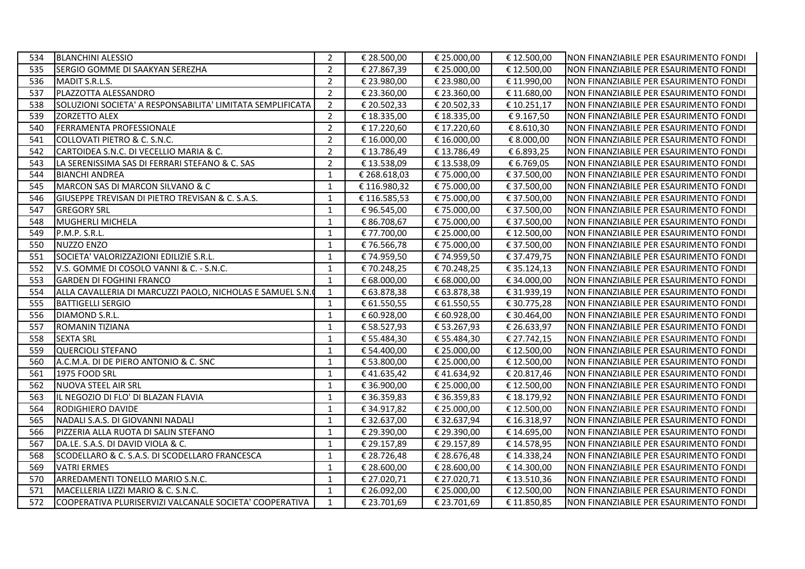| 534 | <b>BLANCHINI ALESSIO</b>                                   | 2              | € 28.500,00  | € 25.000,00 | € 12.500,00 | NON FINANZIABILE PER ESAURIMENTO FONDI |
|-----|------------------------------------------------------------|----------------|--------------|-------------|-------------|----------------------------------------|
| 535 | SERGIO GOMME DI SAAKYAN SEREZHA                            | $\overline{2}$ | € 27.867,39  | € 25.000,00 | € 12.500,00 | NON FINANZIABILE PER ESAURIMENTO FONDI |
| 536 | MADIT S.R.L.S.                                             | $\overline{2}$ | € 23.980,00  | € 23.980,00 | € 11.990,00 | NON FINANZIABILE PER ESAURIMENTO FONDI |
| 537 | PLAZZOTTA ALESSANDRO                                       | $\overline{2}$ | € 23.360,00  | € 23.360,00 | € 11.680,00 | NON FINANZIABILE PER ESAURIMENTO FONDI |
| 538 | SOLUZIONI SOCIETA' A RESPONSABILITA' LIMITATA SEMPLIFICATA | 2              | € 20.502,33  | € 20.502,33 | € 10.251,17 | NON FINANZIABILE PER ESAURIMENTO FONDI |
| 539 | <b>ZORZETTO ALEX</b>                                       | $\overline{2}$ | € 18.335,00  | € 18.335,00 | €9.167,50   | NON FINANZIABILE PER ESAURIMENTO FONDI |
| 540 | FERRAMENTA PROFESSIONALE                                   | $\overline{2}$ | € 17.220,60  | € 17.220,60 | € 8.610,30  | NON FINANZIABILE PER ESAURIMENTO FONDI |
| 541 | COLLOVATI PIETRO & C. S.N.C.                               | 2              | € 16.000,00  | € 16.000,00 | € 8.000,00  | NON FINANZIABILE PER ESAURIMENTO FONDI |
| 542 | CARTOIDEA S.N.C. DI VECELLIO MARIA & C.                    | $\overline{2}$ | €13.786,49   | €13.786,49  | € 6.893,25  | NON FINANZIABILE PER ESAURIMENTO FONDI |
| 543 | LA SERENISSIMA SAS DI FERRARI STEFANO & C. SAS             | $\overline{2}$ | € 13.538,09  | € 13.538,09 | € 6.769,05  | NON FINANZIABILE PER ESAURIMENTO FONDI |
| 544 | <b>BIANCHI ANDREA</b>                                      | $\mathbf{1}$   | € 268.618,03 | €75.000,00  | € 37.500,00 | NON FINANZIABILE PER ESAURIMENTO FONDI |
| 545 | MARCON SAS DI MARCON SILVANO & C                           | $\mathbf{1}$   | €116.980,32  | €75.000,00  | € 37.500,00 | NON FINANZIABILE PER ESAURIMENTO FONDI |
| 546 | GIUSEPPE TREVISAN DI PIETRO TREVISAN & C. S.A.S.           | 1              | €116.585,53  | €75.000,00  | € 37.500,00 | NON FINANZIABILE PER ESAURIMENTO FONDI |
| 547 | <b>GREGORY SRL</b>                                         | $\mathbf{1}$   | €96.545,00   | €75.000,00  | € 37.500,00 | NON FINANZIABILE PER ESAURIMENTO FONDI |
| 548 | <b>MUGHERLI MICHELA</b>                                    | $\mathbf{1}$   | € 86.708,67  | € 75.000,00 | € 37.500,00 | NON FINANZIABILE PER ESAURIMENTO FONDI |
| 549 | P.M.P. S.R.L.                                              | $\mathbf{1}$   | € 77.700,00  | € 25.000,00 | € 12.500,00 | NON FINANZIABILE PER ESAURIMENTO FONDI |
| 550 | NUZZO ENZO                                                 | $\mathbf{1}$   | €76.566,78   | €75.000,00  | € 37.500,00 | NON FINANZIABILE PER ESAURIMENTO FONDI |
| 551 | SOCIETA' VALORIZZAZIONI EDILIZIE S.R.L.                    | $\mathbf{1}$   | € 74.959,50  | €74.959,50  | € 37.479,75 | NON FINANZIABILE PER ESAURIMENTO FONDI |
| 552 | V.S. GOMME DI COSOLO VANNI & C. - S.N.C.                   | $\mathbf{1}$   | €70.248,25   | €70.248,25  | € 35.124,13 | NON FINANZIABILE PER ESAURIMENTO FONDI |
| 553 | <b>GARDEN DI FOGHINI FRANCO</b>                            | $\mathbf{1}$   | € 68.000,00  | € 68.000,00 | € 34.000,00 | NON FINANZIABILE PER ESAURIMENTO FONDI |
| 554 | ALLA CAVALLERIA DI MARCUZZI PAOLO, NICHOLAS E SAMUEL S.N.  | 1              | € 63.878,38  | € 63.878,38 | € 31.939,19 | NON FINANZIABILE PER ESAURIMENTO FONDI |
| 555 | <b>BATTIGELLI SERGIO</b>                                   | 1              | € 61.550,55  | € 61.550,55 | € 30.775,28 | NON FINANZIABILE PER ESAURIMENTO FONDI |
| 556 | DIAMOND S.R.L.                                             | $\mathbf{1}$   | € 60.928,00  | € 60.928,00 | € 30.464,00 | NON FINANZIABILE PER ESAURIMENTO FONDI |
| 557 | <b>ROMANIN TIZIANA</b>                                     | $\mathbf{1}$   | € 58.527,93  | € 53.267,93 | € 26.633,97 | NON FINANZIABILE PER ESAURIMENTO FONDI |
| 558 | <b>SEXTA SRL</b>                                           | 1              | € 55.484,30  | € 55.484,30 | € 27.742,15 | NON FINANZIABILE PER ESAURIMENTO FONDI |
| 559 | <b>QUERCIOLI STEFANO</b>                                   | $\mathbf{1}$   | € 54.400,00  | € 25.000,00 | € 12.500,00 | NON FINANZIABILE PER ESAURIMENTO FONDI |
| 560 | A.C.M.A. DI DE PIERO ANTONIO & C. SNC                      | $\mathbf{1}$   | € 53.800,00  | € 25.000,00 | € 12.500,00 | NON FINANZIABILE PER ESAURIMENTO FONDI |
| 561 | 1975 FOOD SRL                                              | $\mathbf{1}$   | €41.635,42   | €41.634,92  | € 20.817,46 | NON FINANZIABILE PER ESAURIMENTO FONDI |
| 562 | <b>NUOVA STEEL AIR SRL</b>                                 | $\mathbf{1}$   | € 36.900,00  | € 25.000,00 | € 12.500,00 | NON FINANZIABILE PER ESAURIMENTO FONDI |
| 563 | IL NEGOZIO DI FLO' DI BLAZAN FLAVIA                        | $\mathbf{1}$   | € 36.359,83  | € 36.359,83 | € 18.179,92 | NON FINANZIABILE PER ESAURIMENTO FONDI |
| 564 | RODIGHIERO DAVIDE                                          | $\mathbf{1}$   | € 34.917,82  | € 25.000,00 | € 12.500,00 | NON FINANZIABILE PER ESAURIMENTO FONDI |
| 565 | NADALI S.A.S. DI GIOVANNI NADALI                           | $\mathbf{1}$   | € 32.637,00  | € 32.637,94 | € 16.318,97 | NON FINANZIABILE PER ESAURIMENTO FONDI |
| 566 | PIZZERIA ALLA RUOTA DI SALIN STEFANO                       | 1              | € 29.390,00  | € 29.390,00 | € 14.695,00 | NON FINANZIABILE PER ESAURIMENTO FONDI |
| 567 | DA.LE. S.A.S. DI DAVID VIOLA & C.                          | $\mathbf{1}$   | € 29.157,89  | € 29.157,89 | € 14.578,95 | NON FINANZIABILE PER ESAURIMENTO FONDI |
| 568 | SCODELLARO & C. S.A.S. DI SCODELLARO FRANCESCA             | $\mathbf{1}$   | € 28.726,48  | € 28.676,48 | € 14.338,24 | NON FINANZIABILE PER ESAURIMENTO FONDI |
| 569 | <b>VATRI ERMES</b>                                         | 1              | € 28.600,00  | € 28.600,00 | € 14.300,00 | NON FINANZIABILE PER ESAURIMENTO FONDI |
| 570 | ARREDAMENTI TONELLO MARIO S.N.C.                           | $\mathbf{1}$   | € 27.020,71  | € 27.020,71 | € 13.510,36 | NON FINANZIABILE PER ESAURIMENTO FONDI |
| 571 | MACELLERIA LIZZI MARIO & C. S.N.C.                         | $\mathbf{1}$   | € 26.092,00  | € 25.000,00 | € 12.500,00 | NON FINANZIABILE PER ESAURIMENTO FONDI |
| 572 | COOPERATIVA PLURISERVIZI VALCANALE SOCIETA' COOPERATIVA    | 1              | € 23.701,69  | € 23.701,69 | € 11.850,85 | NON FINANZIABILE PER ESAURIMENTO FONDI |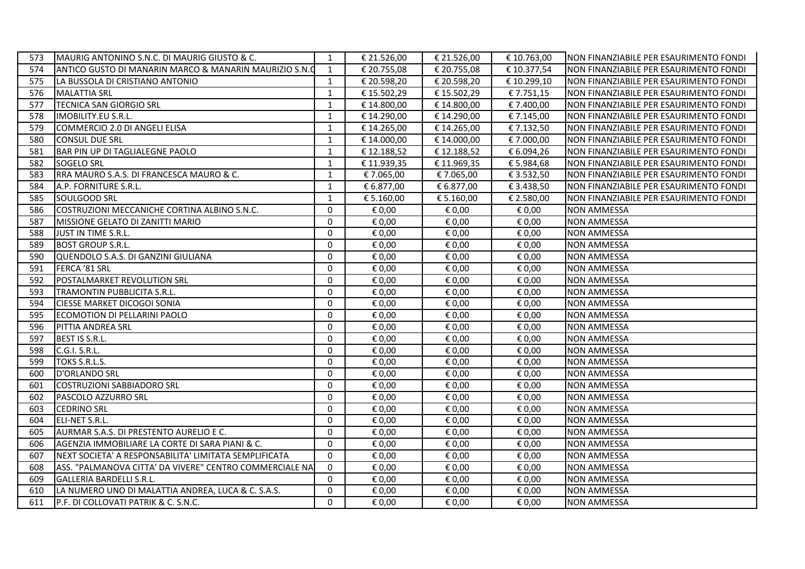| 574<br>€ 20.755,08<br>€ 20.755,08<br>€ 10.377,54<br>ANTICO GUSTO DI MANARIN MARCO & MANARIN MAURIZIO S.N.<br>$\mathbf{1}$<br>NON FINANZIABILE PER ESAURIMENTO FONDI<br>€ 20.598,20<br>€ 20.598,20<br>575<br>LA BUSSOLA DI CRISTIANO ANTONIO<br>$\mathbf{1}$<br>€ 10.299,10<br>NON FINANZIABILE PER ESAURIMENTO FONDI<br>$\mathbf{1}$<br>576<br><b>MALATTIA SRL</b><br>€15.502,29<br>€ 15.502,29<br>€7.751,15<br>NON FINANZIABILE PER ESAURIMENTO FONDI<br>577<br><b>TECNICA SAN GIORGIO SRL</b><br>$\mathbf{1}$<br>€ 14.800,00<br>€ 7.400,00<br>NON FINANZIABILE PER ESAURIMENTO FONDI<br>€ 14.800,00<br>IMOBILITY.EU S.R.L.<br>€ 14.290,00<br>€ 14.290,00<br>578<br>1<br>€ 7.145,00<br>NON FINANZIABILE PER ESAURIMENTO FONDI<br>579<br>COMMERCIO 2.0 DI ANGELI ELISA<br>$\mathbf{1}$<br>€ 7.132,50<br>€ 14.265,00<br>€ 14.265,00<br>NON FINANZIABILE PER ESAURIMENTO FONDI<br>580<br><b>CONSUL DUE SRL</b><br>€ 14.000,00<br>€ 14.000,00<br>€ 7.000,00<br>1<br>NON FINANZIABILE PER ESAURIMENTO FONDI<br>581<br>BAR PIN UP DI TAGLIALEGNE PAOLO<br>€ 12.188,52<br>€ 12.188,52<br>€ 6.094,26<br>$\mathbf{1}$<br>NON FINANZIABILE PER ESAURIMENTO FONDI<br>582<br>$\mathbf{1}$<br>€ 11.939,35<br>€ 5.984,68<br><b>SOGELO SRL</b><br>€ 11.969,35<br>NON FINANZIABILE PER ESAURIMENTO FONDI<br>583<br>RRA MAURO S.A.S. DI FRANCESCA MAURO & C.<br>1<br>€ 7.065,00<br>€7.065,00<br>€ 3.532,50<br>NON FINANZIABILE PER ESAURIMENTO FONDI<br>584<br>A.P. FORNITURE S.R.L.<br>$\mathbf{1}$<br>€ 6.877,00<br>€ 6.877,00<br>€ 3.438,50<br>NON FINANZIABILE PER ESAURIMENTO FONDI<br>585<br>SOULGOOD SRL<br>$\mathbf{1}$<br>€ 5.160,00<br>€ 5.160,00<br>€ 2.580,00<br>NON FINANZIABILE PER ESAURIMENTO FONDI<br>$\mathbf 0$<br>586<br>COSTRUZIONI MECCANICHE CORTINA ALBINO S.N.C.<br>€ 0,00<br>€ 0,00<br>€ 0,00<br><b>NON AMMESSA</b><br>$\mathbf{0}$<br>587<br>MISSIONE GELATO DI ZANITTI MARIO<br>€ 0,00<br>€ 0,00<br>€ 0,00<br><b>NON AMMESSA</b><br>$\mathbf{0}$<br>588<br>JUST IN TIME S.R.L.<br>€ 0,00<br>€ 0,00<br>€ 0,00<br><b>NON AMMESSA</b><br>$\mathbf 0$<br>589<br><b>BOST GROUP S.R.L.</b><br>€ 0,00<br>€ 0,00<br>€ 0,00<br><b>NON AMMESSA</b><br>$\mathbf 0$<br>590<br>QUENDOLO S.A.S. DI GANZINI GIULIANA<br>€ 0,00<br>€ 0,00<br>€ 0,00<br><b>NON AMMESSA</b><br>FERCA '81 SRL<br>€ 0,00<br>€ 0,00<br>591<br>$\mathbf 0$<br>€ 0,00<br><b>NON AMMESSA</b><br>POSTALMARKET REVOLUTION SRL<br>$\mathbf 0$<br>592<br>€ 0,00<br>€ 0,00<br>€ 0,00<br><b>NON AMMESSA</b><br>593<br>$\mathbf 0$<br>€ 0,00<br>€ 0,00<br>€ 0,00<br>TRAMONTIN PUBBLICITA S.R.L.<br><b>NON AMMESSA</b><br>$\Omega$<br>€ 0,00<br>€ 0,00<br>€ 0,00<br>594<br><b>CIESSE MARKET DICOGOI SONIA</b><br><b>NON AMMESSA</b><br>$\mathbf{0}$<br>595<br>ECOMOTION DI PELLARINI PAOLO<br>€ 0.00<br>€ 0,00<br><b>NON AMMESSA</b><br>€ 0,00<br>$\mathbf{0}$<br>€ 0,00<br>596<br>PITTIA ANDREA SRL<br>€ 0,00<br>€ 0,00<br><b>NON AMMESSA</b><br>597<br>BEST IS S.R.L.<br>$\mathbf 0$<br>€ 0,00<br>€ 0,00<br>€ 0,00<br><b>NON AMMESSA</b><br>$\mathbf 0$<br>598<br>C.G.I. S.R.L.<br>€ 0,00<br>€ 0,00<br>€ 0,00<br><b>NON AMMESSA</b><br>TOKS S.R.L.S.<br>$\mathbf 0$<br>599<br>€ 0,00<br>€ 0,00<br>€ 0,00<br><b>NON AMMESSA</b><br>D'ORLANDO SRL<br>$\Omega$<br>€ 0,00<br><b>NON AMMESSA</b><br>600<br>€ 0,00<br>€ 0,00<br>$\mathbf{0}$<br><b>COSTRUZIONI SABBIADORO SRL</b><br>€ 0,00<br>€ 0,00<br>€ 0,00<br><b>NON AMMESSA</b><br>601<br>PASCOLO AZZURRO SRL<br>$\mathbf{0}$<br>€ 0,00<br>€ 0,00<br>€ 0,00<br>602<br><b>NON AMMESSA</b><br>$\mathbf{0}$<br>€ 0,00<br>603<br><b>CEDRINO SRL</b><br>€ 0,00<br>€ 0,00<br><b>NON AMMESSA</b><br>$\mathbf 0$<br>604<br>ELI-NET S.R.L.<br>€ 0,00<br>€ 0,00<br>€ 0,00<br><b>NON AMMESSA</b><br>605<br>AURMAR S.A.S. DI PRESTENTO AURELIO E C.<br>$\mathbf{0}$<br>€ 0,00<br>€ 0,00<br>€ 0,00<br><b>NON AMMESSA</b><br><b>NON AMMESSA</b><br>AGENZIA IMMOBILIARE LA CORTE DI SARA PIANI & C.<br>$\mathbf{0}$<br>€ 0,00<br>€ 0,00<br>€ 0,00<br>606<br>NEXT SOCIETA' A RESPONSABILITA' LIMITATA SEMPLIFICATA<br>$\mathbf 0$<br>€ 0,00<br>€ 0,00<br><b>NON AMMESSA</b><br>607<br>€ 0,00<br>ASS. "PALMANOVA CITTA' DA VIVERE" CENTRO COMMERCIALE NA<br>$\Omega$<br>608<br>€ 0,00<br>€ 0,00<br>€ 0,00<br><b>NON AMMESSA</b><br>$\mathbf{0}$<br>GALLERIA BARDELLI S.R.L.<br>€ 0,00<br><b>NON AMMESSA</b><br>609<br>€ 0,00<br>€ 0,00<br>LA NUMERO UNO DI MALATTIA ANDREA, LUCA & C. S.A.S.<br>$\Omega$<br><b>NON AMMESSA</b><br>610<br>€ 0,00<br>€ 0,00<br>€ 0,00<br>$\Omega$<br>P.F. DI COLLOVATI PATRIK & C. S.N.C.<br>€ 0,00<br>€ 0,00<br>€ 0,00<br><b>NON AMMESSA</b><br>611 | 573 | MAURIG ANTONINO S.N.C. DI MAURIG GIUSTO & C. | $\mathbf{1}$ | € 21.526,00 | € 21.526,00 | € 10.763,00 | NON FINANZIABILE PER ESAURIMENTO FONDI |
|---------------------------------------------------------------------------------------------------------------------------------------------------------------------------------------------------------------------------------------------------------------------------------------------------------------------------------------------------------------------------------------------------------------------------------------------------------------------------------------------------------------------------------------------------------------------------------------------------------------------------------------------------------------------------------------------------------------------------------------------------------------------------------------------------------------------------------------------------------------------------------------------------------------------------------------------------------------------------------------------------------------------------------------------------------------------------------------------------------------------------------------------------------------------------------------------------------------------------------------------------------------------------------------------------------------------------------------------------------------------------------------------------------------------------------------------------------------------------------------------------------------------------------------------------------------------------------------------------------------------------------------------------------------------------------------------------------------------------------------------------------------------------------------------------------------------------------------------------------------------------------------------------------------------------------------------------------------------------------------------------------------------------------------------------------------------------------------------------------------------------------------------------------------------------------------------------------------------------------------------------------------------------------------------------------------------------------------------------------------------------------------------------------------------------------------------------------------------------------------------------------------------------------------------------------------------------------------------------------------------------------------------------------------------------------------------------------------------------------------------------------------------------------------------------------------------------------------------------------------------------------------------------------------------------------------------------------------------------------------------------------------------------------------------------------------------------------------------------------------------------------------------------------------------------------------------------------------------------------------------------------------------------------------------------------------------------------------------------------------------------------------------------------------------------------------------------------------------------------------------------------------------------------------------------------------------------------------------------------------------------------------------------------------------------------------------------------------------------------------------------------------------------------------------------------------------------------------------------------------------------------------------------------------------------------------------------------------------------------------------------------------------------------------------------------------------------------------------------------------------------------------------------------------------------------------------------------------------------------------------------------------------------------------------------------------------------------------------------------------------------------------------------------------------------------------------------------------------------------------------------------------------------------------------------------------------------------|-----|----------------------------------------------|--------------|-------------|-------------|-------------|----------------------------------------|
|                                                                                                                                                                                                                                                                                                                                                                                                                                                                                                                                                                                                                                                                                                                                                                                                                                                                                                                                                                                                                                                                                                                                                                                                                                                                                                                                                                                                                                                                                                                                                                                                                                                                                                                                                                                                                                                                                                                                                                                                                                                                                                                                                                                                                                                                                                                                                                                                                                                                                                                                                                                                                                                                                                                                                                                                                                                                                                                                                                                                                                                                                                                                                                                                                                                                                                                                                                                                                                                                                                                                                                                                                                                                                                                                                                                                                                                                                                                                                                                                                                                                                                                                                                                                                                                                                                                                                                                                                                                                                                                                                                                 |     |                                              |              |             |             |             |                                        |
|                                                                                                                                                                                                                                                                                                                                                                                                                                                                                                                                                                                                                                                                                                                                                                                                                                                                                                                                                                                                                                                                                                                                                                                                                                                                                                                                                                                                                                                                                                                                                                                                                                                                                                                                                                                                                                                                                                                                                                                                                                                                                                                                                                                                                                                                                                                                                                                                                                                                                                                                                                                                                                                                                                                                                                                                                                                                                                                                                                                                                                                                                                                                                                                                                                                                                                                                                                                                                                                                                                                                                                                                                                                                                                                                                                                                                                                                                                                                                                                                                                                                                                                                                                                                                                                                                                                                                                                                                                                                                                                                                                                 |     |                                              |              |             |             |             |                                        |
|                                                                                                                                                                                                                                                                                                                                                                                                                                                                                                                                                                                                                                                                                                                                                                                                                                                                                                                                                                                                                                                                                                                                                                                                                                                                                                                                                                                                                                                                                                                                                                                                                                                                                                                                                                                                                                                                                                                                                                                                                                                                                                                                                                                                                                                                                                                                                                                                                                                                                                                                                                                                                                                                                                                                                                                                                                                                                                                                                                                                                                                                                                                                                                                                                                                                                                                                                                                                                                                                                                                                                                                                                                                                                                                                                                                                                                                                                                                                                                                                                                                                                                                                                                                                                                                                                                                                                                                                                                                                                                                                                                                 |     |                                              |              |             |             |             |                                        |
|                                                                                                                                                                                                                                                                                                                                                                                                                                                                                                                                                                                                                                                                                                                                                                                                                                                                                                                                                                                                                                                                                                                                                                                                                                                                                                                                                                                                                                                                                                                                                                                                                                                                                                                                                                                                                                                                                                                                                                                                                                                                                                                                                                                                                                                                                                                                                                                                                                                                                                                                                                                                                                                                                                                                                                                                                                                                                                                                                                                                                                                                                                                                                                                                                                                                                                                                                                                                                                                                                                                                                                                                                                                                                                                                                                                                                                                                                                                                                                                                                                                                                                                                                                                                                                                                                                                                                                                                                                                                                                                                                                                 |     |                                              |              |             |             |             |                                        |
|                                                                                                                                                                                                                                                                                                                                                                                                                                                                                                                                                                                                                                                                                                                                                                                                                                                                                                                                                                                                                                                                                                                                                                                                                                                                                                                                                                                                                                                                                                                                                                                                                                                                                                                                                                                                                                                                                                                                                                                                                                                                                                                                                                                                                                                                                                                                                                                                                                                                                                                                                                                                                                                                                                                                                                                                                                                                                                                                                                                                                                                                                                                                                                                                                                                                                                                                                                                                                                                                                                                                                                                                                                                                                                                                                                                                                                                                                                                                                                                                                                                                                                                                                                                                                                                                                                                                                                                                                                                                                                                                                                                 |     |                                              |              |             |             |             |                                        |
|                                                                                                                                                                                                                                                                                                                                                                                                                                                                                                                                                                                                                                                                                                                                                                                                                                                                                                                                                                                                                                                                                                                                                                                                                                                                                                                                                                                                                                                                                                                                                                                                                                                                                                                                                                                                                                                                                                                                                                                                                                                                                                                                                                                                                                                                                                                                                                                                                                                                                                                                                                                                                                                                                                                                                                                                                                                                                                                                                                                                                                                                                                                                                                                                                                                                                                                                                                                                                                                                                                                                                                                                                                                                                                                                                                                                                                                                                                                                                                                                                                                                                                                                                                                                                                                                                                                                                                                                                                                                                                                                                                                 |     |                                              |              |             |             |             |                                        |
|                                                                                                                                                                                                                                                                                                                                                                                                                                                                                                                                                                                                                                                                                                                                                                                                                                                                                                                                                                                                                                                                                                                                                                                                                                                                                                                                                                                                                                                                                                                                                                                                                                                                                                                                                                                                                                                                                                                                                                                                                                                                                                                                                                                                                                                                                                                                                                                                                                                                                                                                                                                                                                                                                                                                                                                                                                                                                                                                                                                                                                                                                                                                                                                                                                                                                                                                                                                                                                                                                                                                                                                                                                                                                                                                                                                                                                                                                                                                                                                                                                                                                                                                                                                                                                                                                                                                                                                                                                                                                                                                                                                 |     |                                              |              |             |             |             |                                        |
|                                                                                                                                                                                                                                                                                                                                                                                                                                                                                                                                                                                                                                                                                                                                                                                                                                                                                                                                                                                                                                                                                                                                                                                                                                                                                                                                                                                                                                                                                                                                                                                                                                                                                                                                                                                                                                                                                                                                                                                                                                                                                                                                                                                                                                                                                                                                                                                                                                                                                                                                                                                                                                                                                                                                                                                                                                                                                                                                                                                                                                                                                                                                                                                                                                                                                                                                                                                                                                                                                                                                                                                                                                                                                                                                                                                                                                                                                                                                                                                                                                                                                                                                                                                                                                                                                                                                                                                                                                                                                                                                                                                 |     |                                              |              |             |             |             |                                        |
|                                                                                                                                                                                                                                                                                                                                                                                                                                                                                                                                                                                                                                                                                                                                                                                                                                                                                                                                                                                                                                                                                                                                                                                                                                                                                                                                                                                                                                                                                                                                                                                                                                                                                                                                                                                                                                                                                                                                                                                                                                                                                                                                                                                                                                                                                                                                                                                                                                                                                                                                                                                                                                                                                                                                                                                                                                                                                                                                                                                                                                                                                                                                                                                                                                                                                                                                                                                                                                                                                                                                                                                                                                                                                                                                                                                                                                                                                                                                                                                                                                                                                                                                                                                                                                                                                                                                                                                                                                                                                                                                                                                 |     |                                              |              |             |             |             |                                        |
|                                                                                                                                                                                                                                                                                                                                                                                                                                                                                                                                                                                                                                                                                                                                                                                                                                                                                                                                                                                                                                                                                                                                                                                                                                                                                                                                                                                                                                                                                                                                                                                                                                                                                                                                                                                                                                                                                                                                                                                                                                                                                                                                                                                                                                                                                                                                                                                                                                                                                                                                                                                                                                                                                                                                                                                                                                                                                                                                                                                                                                                                                                                                                                                                                                                                                                                                                                                                                                                                                                                                                                                                                                                                                                                                                                                                                                                                                                                                                                                                                                                                                                                                                                                                                                                                                                                                                                                                                                                                                                                                                                                 |     |                                              |              |             |             |             |                                        |
|                                                                                                                                                                                                                                                                                                                                                                                                                                                                                                                                                                                                                                                                                                                                                                                                                                                                                                                                                                                                                                                                                                                                                                                                                                                                                                                                                                                                                                                                                                                                                                                                                                                                                                                                                                                                                                                                                                                                                                                                                                                                                                                                                                                                                                                                                                                                                                                                                                                                                                                                                                                                                                                                                                                                                                                                                                                                                                                                                                                                                                                                                                                                                                                                                                                                                                                                                                                                                                                                                                                                                                                                                                                                                                                                                                                                                                                                                                                                                                                                                                                                                                                                                                                                                                                                                                                                                                                                                                                                                                                                                                                 |     |                                              |              |             |             |             |                                        |
|                                                                                                                                                                                                                                                                                                                                                                                                                                                                                                                                                                                                                                                                                                                                                                                                                                                                                                                                                                                                                                                                                                                                                                                                                                                                                                                                                                                                                                                                                                                                                                                                                                                                                                                                                                                                                                                                                                                                                                                                                                                                                                                                                                                                                                                                                                                                                                                                                                                                                                                                                                                                                                                                                                                                                                                                                                                                                                                                                                                                                                                                                                                                                                                                                                                                                                                                                                                                                                                                                                                                                                                                                                                                                                                                                                                                                                                                                                                                                                                                                                                                                                                                                                                                                                                                                                                                                                                                                                                                                                                                                                                 |     |                                              |              |             |             |             |                                        |
|                                                                                                                                                                                                                                                                                                                                                                                                                                                                                                                                                                                                                                                                                                                                                                                                                                                                                                                                                                                                                                                                                                                                                                                                                                                                                                                                                                                                                                                                                                                                                                                                                                                                                                                                                                                                                                                                                                                                                                                                                                                                                                                                                                                                                                                                                                                                                                                                                                                                                                                                                                                                                                                                                                                                                                                                                                                                                                                                                                                                                                                                                                                                                                                                                                                                                                                                                                                                                                                                                                                                                                                                                                                                                                                                                                                                                                                                                                                                                                                                                                                                                                                                                                                                                                                                                                                                                                                                                                                                                                                                                                                 |     |                                              |              |             |             |             |                                        |
|                                                                                                                                                                                                                                                                                                                                                                                                                                                                                                                                                                                                                                                                                                                                                                                                                                                                                                                                                                                                                                                                                                                                                                                                                                                                                                                                                                                                                                                                                                                                                                                                                                                                                                                                                                                                                                                                                                                                                                                                                                                                                                                                                                                                                                                                                                                                                                                                                                                                                                                                                                                                                                                                                                                                                                                                                                                                                                                                                                                                                                                                                                                                                                                                                                                                                                                                                                                                                                                                                                                                                                                                                                                                                                                                                                                                                                                                                                                                                                                                                                                                                                                                                                                                                                                                                                                                                                                                                                                                                                                                                                                 |     |                                              |              |             |             |             |                                        |
|                                                                                                                                                                                                                                                                                                                                                                                                                                                                                                                                                                                                                                                                                                                                                                                                                                                                                                                                                                                                                                                                                                                                                                                                                                                                                                                                                                                                                                                                                                                                                                                                                                                                                                                                                                                                                                                                                                                                                                                                                                                                                                                                                                                                                                                                                                                                                                                                                                                                                                                                                                                                                                                                                                                                                                                                                                                                                                                                                                                                                                                                                                                                                                                                                                                                                                                                                                                                                                                                                                                                                                                                                                                                                                                                                                                                                                                                                                                                                                                                                                                                                                                                                                                                                                                                                                                                                                                                                                                                                                                                                                                 |     |                                              |              |             |             |             |                                        |
|                                                                                                                                                                                                                                                                                                                                                                                                                                                                                                                                                                                                                                                                                                                                                                                                                                                                                                                                                                                                                                                                                                                                                                                                                                                                                                                                                                                                                                                                                                                                                                                                                                                                                                                                                                                                                                                                                                                                                                                                                                                                                                                                                                                                                                                                                                                                                                                                                                                                                                                                                                                                                                                                                                                                                                                                                                                                                                                                                                                                                                                                                                                                                                                                                                                                                                                                                                                                                                                                                                                                                                                                                                                                                                                                                                                                                                                                                                                                                                                                                                                                                                                                                                                                                                                                                                                                                                                                                                                                                                                                                                                 |     |                                              |              |             |             |             |                                        |
|                                                                                                                                                                                                                                                                                                                                                                                                                                                                                                                                                                                                                                                                                                                                                                                                                                                                                                                                                                                                                                                                                                                                                                                                                                                                                                                                                                                                                                                                                                                                                                                                                                                                                                                                                                                                                                                                                                                                                                                                                                                                                                                                                                                                                                                                                                                                                                                                                                                                                                                                                                                                                                                                                                                                                                                                                                                                                                                                                                                                                                                                                                                                                                                                                                                                                                                                                                                                                                                                                                                                                                                                                                                                                                                                                                                                                                                                                                                                                                                                                                                                                                                                                                                                                                                                                                                                                                                                                                                                                                                                                                                 |     |                                              |              |             |             |             |                                        |
|                                                                                                                                                                                                                                                                                                                                                                                                                                                                                                                                                                                                                                                                                                                                                                                                                                                                                                                                                                                                                                                                                                                                                                                                                                                                                                                                                                                                                                                                                                                                                                                                                                                                                                                                                                                                                                                                                                                                                                                                                                                                                                                                                                                                                                                                                                                                                                                                                                                                                                                                                                                                                                                                                                                                                                                                                                                                                                                                                                                                                                                                                                                                                                                                                                                                                                                                                                                                                                                                                                                                                                                                                                                                                                                                                                                                                                                                                                                                                                                                                                                                                                                                                                                                                                                                                                                                                                                                                                                                                                                                                                                 |     |                                              |              |             |             |             |                                        |
|                                                                                                                                                                                                                                                                                                                                                                                                                                                                                                                                                                                                                                                                                                                                                                                                                                                                                                                                                                                                                                                                                                                                                                                                                                                                                                                                                                                                                                                                                                                                                                                                                                                                                                                                                                                                                                                                                                                                                                                                                                                                                                                                                                                                                                                                                                                                                                                                                                                                                                                                                                                                                                                                                                                                                                                                                                                                                                                                                                                                                                                                                                                                                                                                                                                                                                                                                                                                                                                                                                                                                                                                                                                                                                                                                                                                                                                                                                                                                                                                                                                                                                                                                                                                                                                                                                                                                                                                                                                                                                                                                                                 |     |                                              |              |             |             |             |                                        |
|                                                                                                                                                                                                                                                                                                                                                                                                                                                                                                                                                                                                                                                                                                                                                                                                                                                                                                                                                                                                                                                                                                                                                                                                                                                                                                                                                                                                                                                                                                                                                                                                                                                                                                                                                                                                                                                                                                                                                                                                                                                                                                                                                                                                                                                                                                                                                                                                                                                                                                                                                                                                                                                                                                                                                                                                                                                                                                                                                                                                                                                                                                                                                                                                                                                                                                                                                                                                                                                                                                                                                                                                                                                                                                                                                                                                                                                                                                                                                                                                                                                                                                                                                                                                                                                                                                                                                                                                                                                                                                                                                                                 |     |                                              |              |             |             |             |                                        |
|                                                                                                                                                                                                                                                                                                                                                                                                                                                                                                                                                                                                                                                                                                                                                                                                                                                                                                                                                                                                                                                                                                                                                                                                                                                                                                                                                                                                                                                                                                                                                                                                                                                                                                                                                                                                                                                                                                                                                                                                                                                                                                                                                                                                                                                                                                                                                                                                                                                                                                                                                                                                                                                                                                                                                                                                                                                                                                                                                                                                                                                                                                                                                                                                                                                                                                                                                                                                                                                                                                                                                                                                                                                                                                                                                                                                                                                                                                                                                                                                                                                                                                                                                                                                                                                                                                                                                                                                                                                                                                                                                                                 |     |                                              |              |             |             |             |                                        |
|                                                                                                                                                                                                                                                                                                                                                                                                                                                                                                                                                                                                                                                                                                                                                                                                                                                                                                                                                                                                                                                                                                                                                                                                                                                                                                                                                                                                                                                                                                                                                                                                                                                                                                                                                                                                                                                                                                                                                                                                                                                                                                                                                                                                                                                                                                                                                                                                                                                                                                                                                                                                                                                                                                                                                                                                                                                                                                                                                                                                                                                                                                                                                                                                                                                                                                                                                                                                                                                                                                                                                                                                                                                                                                                                                                                                                                                                                                                                                                                                                                                                                                                                                                                                                                                                                                                                                                                                                                                                                                                                                                                 |     |                                              |              |             |             |             |                                        |
|                                                                                                                                                                                                                                                                                                                                                                                                                                                                                                                                                                                                                                                                                                                                                                                                                                                                                                                                                                                                                                                                                                                                                                                                                                                                                                                                                                                                                                                                                                                                                                                                                                                                                                                                                                                                                                                                                                                                                                                                                                                                                                                                                                                                                                                                                                                                                                                                                                                                                                                                                                                                                                                                                                                                                                                                                                                                                                                                                                                                                                                                                                                                                                                                                                                                                                                                                                                                                                                                                                                                                                                                                                                                                                                                                                                                                                                                                                                                                                                                                                                                                                                                                                                                                                                                                                                                                                                                                                                                                                                                                                                 |     |                                              |              |             |             |             |                                        |
|                                                                                                                                                                                                                                                                                                                                                                                                                                                                                                                                                                                                                                                                                                                                                                                                                                                                                                                                                                                                                                                                                                                                                                                                                                                                                                                                                                                                                                                                                                                                                                                                                                                                                                                                                                                                                                                                                                                                                                                                                                                                                                                                                                                                                                                                                                                                                                                                                                                                                                                                                                                                                                                                                                                                                                                                                                                                                                                                                                                                                                                                                                                                                                                                                                                                                                                                                                                                                                                                                                                                                                                                                                                                                                                                                                                                                                                                                                                                                                                                                                                                                                                                                                                                                                                                                                                                                                                                                                                                                                                                                                                 |     |                                              |              |             |             |             |                                        |
|                                                                                                                                                                                                                                                                                                                                                                                                                                                                                                                                                                                                                                                                                                                                                                                                                                                                                                                                                                                                                                                                                                                                                                                                                                                                                                                                                                                                                                                                                                                                                                                                                                                                                                                                                                                                                                                                                                                                                                                                                                                                                                                                                                                                                                                                                                                                                                                                                                                                                                                                                                                                                                                                                                                                                                                                                                                                                                                                                                                                                                                                                                                                                                                                                                                                                                                                                                                                                                                                                                                                                                                                                                                                                                                                                                                                                                                                                                                                                                                                                                                                                                                                                                                                                                                                                                                                                                                                                                                                                                                                                                                 |     |                                              |              |             |             |             |                                        |
|                                                                                                                                                                                                                                                                                                                                                                                                                                                                                                                                                                                                                                                                                                                                                                                                                                                                                                                                                                                                                                                                                                                                                                                                                                                                                                                                                                                                                                                                                                                                                                                                                                                                                                                                                                                                                                                                                                                                                                                                                                                                                                                                                                                                                                                                                                                                                                                                                                                                                                                                                                                                                                                                                                                                                                                                                                                                                                                                                                                                                                                                                                                                                                                                                                                                                                                                                                                                                                                                                                                                                                                                                                                                                                                                                                                                                                                                                                                                                                                                                                                                                                                                                                                                                                                                                                                                                                                                                                                                                                                                                                                 |     |                                              |              |             |             |             |                                        |
|                                                                                                                                                                                                                                                                                                                                                                                                                                                                                                                                                                                                                                                                                                                                                                                                                                                                                                                                                                                                                                                                                                                                                                                                                                                                                                                                                                                                                                                                                                                                                                                                                                                                                                                                                                                                                                                                                                                                                                                                                                                                                                                                                                                                                                                                                                                                                                                                                                                                                                                                                                                                                                                                                                                                                                                                                                                                                                                                                                                                                                                                                                                                                                                                                                                                                                                                                                                                                                                                                                                                                                                                                                                                                                                                                                                                                                                                                                                                                                                                                                                                                                                                                                                                                                                                                                                                                                                                                                                                                                                                                                                 |     |                                              |              |             |             |             |                                        |
|                                                                                                                                                                                                                                                                                                                                                                                                                                                                                                                                                                                                                                                                                                                                                                                                                                                                                                                                                                                                                                                                                                                                                                                                                                                                                                                                                                                                                                                                                                                                                                                                                                                                                                                                                                                                                                                                                                                                                                                                                                                                                                                                                                                                                                                                                                                                                                                                                                                                                                                                                                                                                                                                                                                                                                                                                                                                                                                                                                                                                                                                                                                                                                                                                                                                                                                                                                                                                                                                                                                                                                                                                                                                                                                                                                                                                                                                                                                                                                                                                                                                                                                                                                                                                                                                                                                                                                                                                                                                                                                                                                                 |     |                                              |              |             |             |             |                                        |
|                                                                                                                                                                                                                                                                                                                                                                                                                                                                                                                                                                                                                                                                                                                                                                                                                                                                                                                                                                                                                                                                                                                                                                                                                                                                                                                                                                                                                                                                                                                                                                                                                                                                                                                                                                                                                                                                                                                                                                                                                                                                                                                                                                                                                                                                                                                                                                                                                                                                                                                                                                                                                                                                                                                                                                                                                                                                                                                                                                                                                                                                                                                                                                                                                                                                                                                                                                                                                                                                                                                                                                                                                                                                                                                                                                                                                                                                                                                                                                                                                                                                                                                                                                                                                                                                                                                                                                                                                                                                                                                                                                                 |     |                                              |              |             |             |             |                                        |
|                                                                                                                                                                                                                                                                                                                                                                                                                                                                                                                                                                                                                                                                                                                                                                                                                                                                                                                                                                                                                                                                                                                                                                                                                                                                                                                                                                                                                                                                                                                                                                                                                                                                                                                                                                                                                                                                                                                                                                                                                                                                                                                                                                                                                                                                                                                                                                                                                                                                                                                                                                                                                                                                                                                                                                                                                                                                                                                                                                                                                                                                                                                                                                                                                                                                                                                                                                                                                                                                                                                                                                                                                                                                                                                                                                                                                                                                                                                                                                                                                                                                                                                                                                                                                                                                                                                                                                                                                                                                                                                                                                                 |     |                                              |              |             |             |             |                                        |
|                                                                                                                                                                                                                                                                                                                                                                                                                                                                                                                                                                                                                                                                                                                                                                                                                                                                                                                                                                                                                                                                                                                                                                                                                                                                                                                                                                                                                                                                                                                                                                                                                                                                                                                                                                                                                                                                                                                                                                                                                                                                                                                                                                                                                                                                                                                                                                                                                                                                                                                                                                                                                                                                                                                                                                                                                                                                                                                                                                                                                                                                                                                                                                                                                                                                                                                                                                                                                                                                                                                                                                                                                                                                                                                                                                                                                                                                                                                                                                                                                                                                                                                                                                                                                                                                                                                                                                                                                                                                                                                                                                                 |     |                                              |              |             |             |             |                                        |
|                                                                                                                                                                                                                                                                                                                                                                                                                                                                                                                                                                                                                                                                                                                                                                                                                                                                                                                                                                                                                                                                                                                                                                                                                                                                                                                                                                                                                                                                                                                                                                                                                                                                                                                                                                                                                                                                                                                                                                                                                                                                                                                                                                                                                                                                                                                                                                                                                                                                                                                                                                                                                                                                                                                                                                                                                                                                                                                                                                                                                                                                                                                                                                                                                                                                                                                                                                                                                                                                                                                                                                                                                                                                                                                                                                                                                                                                                                                                                                                                                                                                                                                                                                                                                                                                                                                                                                                                                                                                                                                                                                                 |     |                                              |              |             |             |             |                                        |
|                                                                                                                                                                                                                                                                                                                                                                                                                                                                                                                                                                                                                                                                                                                                                                                                                                                                                                                                                                                                                                                                                                                                                                                                                                                                                                                                                                                                                                                                                                                                                                                                                                                                                                                                                                                                                                                                                                                                                                                                                                                                                                                                                                                                                                                                                                                                                                                                                                                                                                                                                                                                                                                                                                                                                                                                                                                                                                                                                                                                                                                                                                                                                                                                                                                                                                                                                                                                                                                                                                                                                                                                                                                                                                                                                                                                                                                                                                                                                                                                                                                                                                                                                                                                                                                                                                                                                                                                                                                                                                                                                                                 |     |                                              |              |             |             |             |                                        |
|                                                                                                                                                                                                                                                                                                                                                                                                                                                                                                                                                                                                                                                                                                                                                                                                                                                                                                                                                                                                                                                                                                                                                                                                                                                                                                                                                                                                                                                                                                                                                                                                                                                                                                                                                                                                                                                                                                                                                                                                                                                                                                                                                                                                                                                                                                                                                                                                                                                                                                                                                                                                                                                                                                                                                                                                                                                                                                                                                                                                                                                                                                                                                                                                                                                                                                                                                                                                                                                                                                                                                                                                                                                                                                                                                                                                                                                                                                                                                                                                                                                                                                                                                                                                                                                                                                                                                                                                                                                                                                                                                                                 |     |                                              |              |             |             |             |                                        |
|                                                                                                                                                                                                                                                                                                                                                                                                                                                                                                                                                                                                                                                                                                                                                                                                                                                                                                                                                                                                                                                                                                                                                                                                                                                                                                                                                                                                                                                                                                                                                                                                                                                                                                                                                                                                                                                                                                                                                                                                                                                                                                                                                                                                                                                                                                                                                                                                                                                                                                                                                                                                                                                                                                                                                                                                                                                                                                                                                                                                                                                                                                                                                                                                                                                                                                                                                                                                                                                                                                                                                                                                                                                                                                                                                                                                                                                                                                                                                                                                                                                                                                                                                                                                                                                                                                                                                                                                                                                                                                                                                                                 |     |                                              |              |             |             |             |                                        |
|                                                                                                                                                                                                                                                                                                                                                                                                                                                                                                                                                                                                                                                                                                                                                                                                                                                                                                                                                                                                                                                                                                                                                                                                                                                                                                                                                                                                                                                                                                                                                                                                                                                                                                                                                                                                                                                                                                                                                                                                                                                                                                                                                                                                                                                                                                                                                                                                                                                                                                                                                                                                                                                                                                                                                                                                                                                                                                                                                                                                                                                                                                                                                                                                                                                                                                                                                                                                                                                                                                                                                                                                                                                                                                                                                                                                                                                                                                                                                                                                                                                                                                                                                                                                                                                                                                                                                                                                                                                                                                                                                                                 |     |                                              |              |             |             |             |                                        |
|                                                                                                                                                                                                                                                                                                                                                                                                                                                                                                                                                                                                                                                                                                                                                                                                                                                                                                                                                                                                                                                                                                                                                                                                                                                                                                                                                                                                                                                                                                                                                                                                                                                                                                                                                                                                                                                                                                                                                                                                                                                                                                                                                                                                                                                                                                                                                                                                                                                                                                                                                                                                                                                                                                                                                                                                                                                                                                                                                                                                                                                                                                                                                                                                                                                                                                                                                                                                                                                                                                                                                                                                                                                                                                                                                                                                                                                                                                                                                                                                                                                                                                                                                                                                                                                                                                                                                                                                                                                                                                                                                                                 |     |                                              |              |             |             |             |                                        |
|                                                                                                                                                                                                                                                                                                                                                                                                                                                                                                                                                                                                                                                                                                                                                                                                                                                                                                                                                                                                                                                                                                                                                                                                                                                                                                                                                                                                                                                                                                                                                                                                                                                                                                                                                                                                                                                                                                                                                                                                                                                                                                                                                                                                                                                                                                                                                                                                                                                                                                                                                                                                                                                                                                                                                                                                                                                                                                                                                                                                                                                                                                                                                                                                                                                                                                                                                                                                                                                                                                                                                                                                                                                                                                                                                                                                                                                                                                                                                                                                                                                                                                                                                                                                                                                                                                                                                                                                                                                                                                                                                                                 |     |                                              |              |             |             |             |                                        |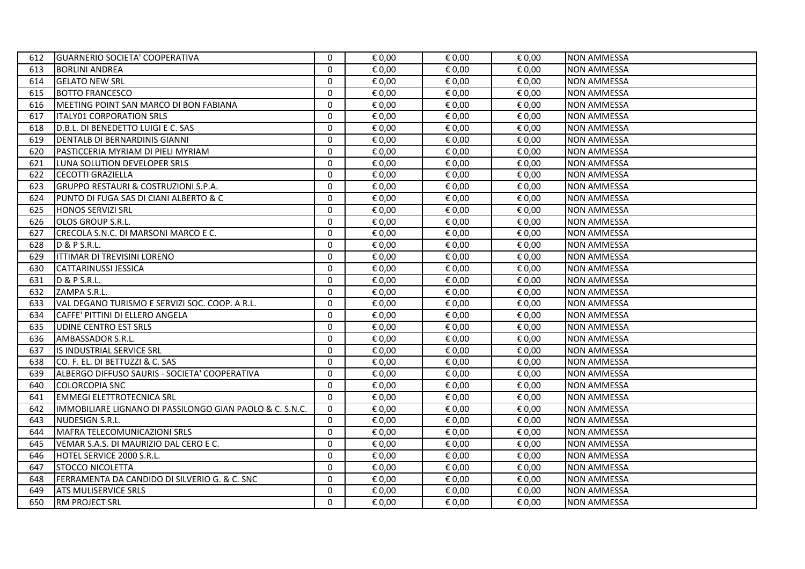| 612 | <b>GUARNERIO SOCIETA' COOPERATIVA</b>                    | $\mathbf{0}$ | € 0,00 | € 0,00 | € 0,00 | <b>NON AMMESSA</b> |
|-----|----------------------------------------------------------|--------------|--------|--------|--------|--------------------|
| 613 | <b>BORLINI ANDREA</b>                                    | $\mathbf{0}$ | € 0,00 | € 0,00 | € 0,00 | <b>NON AMMESSA</b> |
| 614 | <b>GELATO NEW SRL</b>                                    | $\mathbf 0$  | € 0,00 | € 0,00 | € 0,00 | <b>NON AMMESSA</b> |
| 615 | <b>IBOTTO FRANCESCO</b>                                  | $\Omega$     | € 0,00 | € 0,00 | € 0,00 | <b>NON AMMESSA</b> |
| 616 | MEETING POINT SAN MARCO DI BON FABIANA                   | $\mathbf 0$  | € 0,00 | € 0,00 | € 0,00 | <b>NON AMMESSA</b> |
| 617 | <b>ITALY01 CORPORATION SRLS</b>                          | $\mathbf{0}$ | € 0,00 | € 0,00 | € 0,00 | <b>NON AMMESSA</b> |
| 618 | D.B.L. DI BENEDETTO LUIGI E C. SAS                       | $\mathbf{0}$ | € 0,00 | € 0,00 | € 0,00 | <b>NON AMMESSA</b> |
| 619 | <b>DENTALB DI BERNARDINIS GIANNI</b>                     | $\mathbf 0$  | € 0,00 | € 0,00 | € 0,00 | <b>NON AMMESSA</b> |
| 620 | IPASTICCERIA MYRIAM DI PIELI MYRIAM                      | $\mathbf{0}$ | € 0,00 | € 0,00 | € 0,00 | <b>NON AMMESSA</b> |
| 621 | LUNA SOLUTION DEVELOPER SRLS                             | $\mathbf 0$  | € 0,00 | € 0,00 | € 0,00 | <b>NON AMMESSA</b> |
| 622 | <b>CECOTTI GRAZIELLA</b>                                 | $\Omega$     | € 0,00 | € 0,00 | € 0,00 | <b>NON AMMESSA</b> |
| 623 | <b>GRUPPO RESTAURI &amp; COSTRUZIONI S.P.A.</b>          | $\mathbf{0}$ | € 0,00 | € 0,00 | € 0,00 | <b>NON AMMESSA</b> |
| 624 | PUNTO DI FUGA SAS DI CIANI ALBERTO & C                   | $\mathbf 0$  | € 0,00 | € 0,00 | € 0,00 | <b>NON AMMESSA</b> |
| 625 | <b>HONOS SERVIZI SRL</b>                                 | $\Omega$     | € 0,00 | € 0,00 | € 0,00 | <b>NON AMMESSA</b> |
| 626 | <b>OLOS GROUP S.R.L.</b>                                 | $\mathbf 0$  | € 0,00 | € 0,00 | € 0,00 | <b>NON AMMESSA</b> |
| 627 | CRECOLA S.N.C. DI MARSONI MARCO E C.                     | $\Omega$     | € 0,00 | € 0,00 | € 0,00 | <b>NON AMMESSA</b> |
| 628 | D & P S.R.L.                                             | $\mathbf{0}$ | € 0,00 | € 0,00 | € 0,00 | <b>NON AMMESSA</b> |
| 629 | <b>ITTIMAR DI TREVISINI LORENO</b>                       | $\mathbf 0$  | € 0,00 | € 0,00 | € 0,00 | <b>NON AMMESSA</b> |
| 630 | CATTARINUSSI JESSICA                                     | $\mathbf 0$  | € 0,00 | € 0,00 | € 0,00 | <b>NON AMMESSA</b> |
| 631 | D & P S.R.L.                                             | $\Omega$     | € 0,00 | € 0,00 | € 0,00 | <b>NON AMMESSA</b> |
| 632 | ZAMPA S.R.L.                                             | $\mathbf 0$  | € 0,00 | € 0,00 | € 0,00 | <b>NON AMMESSA</b> |
| 633 | VAL DEGANO TURISMO E SERVIZI SOC. COOP. A R.L.           | $\mathbf 0$  | € 0,00 | € 0,00 | € 0,00 | <b>NON AMMESSA</b> |
| 634 | <b>CAFFE' PITTINI DI ELLERO ANGELA</b>                   | $\mathbf{0}$ | € 0,00 | € 0,00 | € 0,00 | <b>NON AMMESSA</b> |
| 635 | <b>UDINE CENTRO EST SRLS</b>                             | $\mathbf 0$  | € 0,00 | € 0,00 | € 0,00 | <b>NON AMMESSA</b> |
| 636 | AMBASSADOR S.R.L.                                        | $\Omega$     | € 0,00 | € 0,00 | € 0,00 | <b>NON AMMESSA</b> |
| 637 | IS INDUSTRIAL SERVICE SRL                                | $\mathbf 0$  | € 0,00 | € 0,00 | € 0,00 | <b>NON AMMESSA</b> |
| 638 | CO. F. EL. DI BETTUZZI & C. SAS                          | $\mathbf{0}$ | € 0,00 | € 0,00 | € 0,00 | <b>NON AMMESSA</b> |
| 639 | ALBERGO DIFFUSO SAURIS - SOCIETA' COOPERATIVA            | $\Omega$     | € 0,00 | € 0,00 | € 0,00 | <b>NON AMMESSA</b> |
| 640 | <b>COLORCOPIA SNC</b>                                    | $\mathbf 0$  | € 0,00 | € 0,00 | € 0,00 | <b>NON AMMESSA</b> |
| 641 | <b>EMMEGI ELETTROTECNICA SRL</b>                         | $\Omega$     | € 0,00 | € 0,00 | € 0,00 | <b>NON AMMESSA</b> |
| 642 | IMMOBILIARE LIGNANO DI PASSILONGO GIAN PAOLO & C. S.N.C. | $\Omega$     | € 0,00 | € 0,00 | € 0,00 | <b>NON AMMESSA</b> |
| 643 | NUDESIGN S.R.L.                                          | 0            | € 0,00 | € 0,00 | € 0,00 | <b>NON AMMESSA</b> |
| 644 | MAFRA TELECOMUNICAZIONI SRLS                             | $\Omega$     | € 0,00 | € 0,00 | € 0,00 | <b>NON AMMESSA</b> |
| 645 | VEMAR S.A.S. DI MAURIZIO DAL CERO E C.                   | $\Omega$     | € 0,00 | € 0,00 | € 0,00 | <b>NON AMMESSA</b> |
| 646 | HOTEL SERVICE 2000 S.R.L.                                | $\mathbf{0}$ | € 0,00 | € 0,00 | € 0,00 | <b>NON AMMESSA</b> |
| 647 | <b>STOCCO NICOLETTA</b>                                  | $\mathbf{0}$ | € 0,00 | € 0,00 | € 0,00 | <b>NON AMMESSA</b> |
| 648 | FERRAMENTA DA CANDIDO DI SILVERIO G. & C. SNC            | $\mathbf{0}$ | € 0,00 | € 0,00 | € 0,00 | <b>NON AMMESSA</b> |
| 649 | <b>ATS MULISERVICE SRLS</b>                              | $\mathbf 0$  | € 0,00 | € 0,00 | € 0,00 | <b>NON AMMESSA</b> |
| 650 | <b>IRM PROJECT SRL</b>                                   | $\Omega$     | € 0.00 | € 0,00 | € 0,00 | <b>NON AMMESSA</b> |